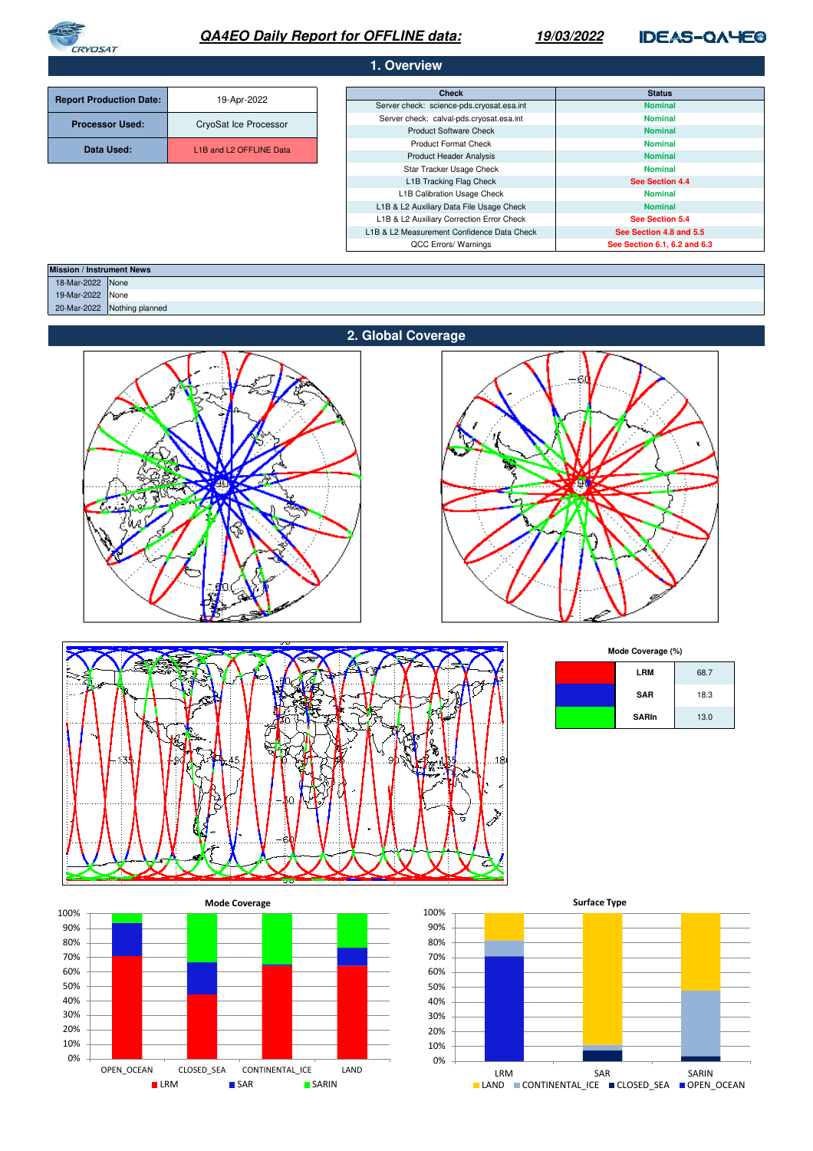

# **QA4EO Daily Report for OFFLINE data:**

## **19/03/2022**

**IDEAS-QAYEO** 

## **1. Overview**

| <b>Report Production Date:</b> | 19-Apr-2022             | <b>Check</b>                               | <b>Status</b>                |
|--------------------------------|-------------------------|--------------------------------------------|------------------------------|
|                                |                         | Server check: science-pds.cryosat.esa.int  | <b>Nominal</b>               |
| <b>Processor Used:</b>         | CryoSat Ice Processor   | Server check: calval-pds.cryosat.esa.int   | <b>Nominal</b>               |
|                                |                         | <b>Product Software Check</b>              | <b>Nominal</b>               |
| Data Used:                     | L1B and L2 OFFLINE Data | <b>Product Format Check</b>                | <b>Nominal</b>               |
|                                |                         | <b>Product Header Analysis</b>             | <b>Nominal</b>               |
|                                |                         | Star Tracker Usage Check                   | <b>Nominal</b>               |
|                                |                         | L1B Tracking Flag Check                    | See Section 4.4              |
|                                |                         | L1B Calibration Usage Check                | <b>Nominal</b>               |
|                                |                         | L1B & L2 Auxiliary Data File Usage Check   | <b>Nominal</b>               |
|                                |                         | L1B & L2 Auxiliary Correction Error Check  |                              |
|                                |                         | L1B & L2 Measurement Confidence Data Check | See Section 4.8 and 5.5      |
|                                |                         | QCC Errors/ Warnings                       | See Section 6.1, 6.2 and 6.3 |

| <b>Mission / Instrument News</b> |                  |                             |
|----------------------------------|------------------|-----------------------------|
|                                  | 18-Mar-2022 None |                             |
|                                  | 19-Mar-2022 None |                             |
|                                  |                  | 20-Mar-2022 Nothing planned |
|                                  |                  |                             |







**Mode Coverage (%)**

| <b>LRM</b>   | 68.7 |
|--------------|------|
| <b>SAR</b>   | 18.3 |
| <b>SARIn</b> | 13.0 |



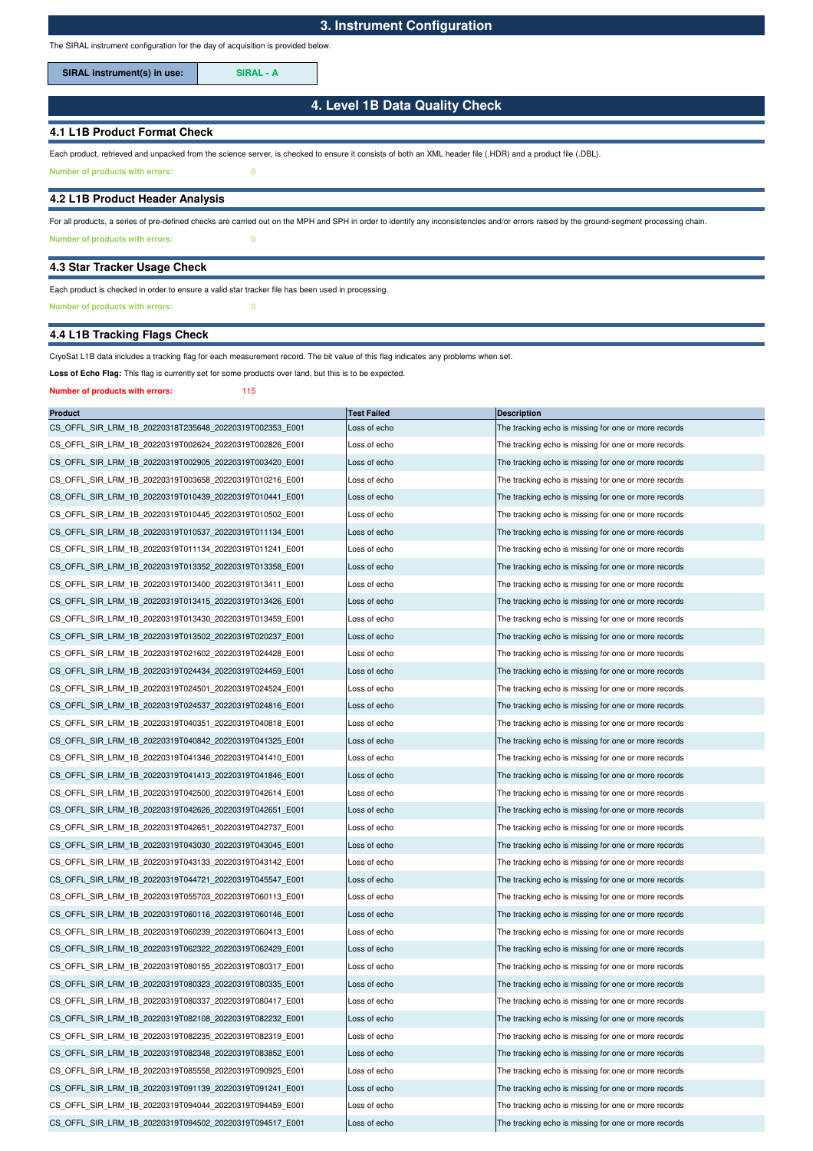The SIRAL instrument configuration for the day of acquisition is provided below.

**SIRAL instrument(s) in use: SIRAL - A**

## **4. Level 1B Data Quality Check**

### **4.1 L1B Product Format Check**

Each product, retrieved and unpacked from the science server, is checked to ensure it consists of both an XML header file (.HDR) and a product file (.DBL).

**Number of products with errors:** 0

### **4.2 L1B Product Header Analysis**

**Number of products with errors:** 0 For all products, a series of pre-defined checks are carried out on the MPH and SPH in order to identify any inconsistencies and/or errors raised by the ground-segment processing chain.

#### **4.3 Star Tracker Usage Check**

### Each product is checked in order to ensure a valid star tracker file has been used in processing.

**Number of products with errors:** 0

## **4.4 L1B Tracking Flags Check**

#### CryoSat L1B data includes a tracking flag for each measurement record. The bit value of this flag indicates any problems when set.

Loss of Echo Flag: This flag is currently set for some products over land, but this is to be expected.

#### **Number of products with errors:** 115

| <b>Product</b>                                          | <b>Test Failed</b> | <b>Description</b>                                   |
|---------------------------------------------------------|--------------------|------------------------------------------------------|
| CS_OFFL_SIR_LRM_1B_20220318T235648_20220319T002353_E001 | Loss of echo       | The tracking echo is missing for one or more records |
| CS OFFL SIR LRM 1B 20220319T002624 20220319T002826 E001 | Loss of echo       | The tracking echo is missing for one or more records |
| CS_OFFL_SIR_LRM_1B_20220319T002905_20220319T003420_E001 | Loss of echo       | The tracking echo is missing for one or more records |
| CS OFFL SIR LRM 1B 20220319T003658 20220319T010216 E001 | Loss of echo       | The tracking echo is missing for one or more records |
| CS_OFFL_SIR_LRM_1B_20220319T010439_20220319T010441_E001 | Loss of echo       | The tracking echo is missing for one or more records |
| CS_OFFL_SIR_LRM_1B_20220319T010445_20220319T010502_E001 | Loss of echo       | The tracking echo is missing for one or more records |
| CS_OFFL_SIR_LRM_1B_20220319T010537_20220319T011134_E001 | Loss of echo       | The tracking echo is missing for one or more records |
| CS_OFFL_SIR_LRM_1B_20220319T011134_20220319T011241_E001 | Loss of echo       | The tracking echo is missing for one or more records |
| CS OFFL SIR LRM 1B 20220319T013352 20220319T013358 E001 | Loss of echo       | The tracking echo is missing for one or more records |
| CS_OFFL_SIR_LRM_1B_20220319T013400_20220319T013411_E001 | Loss of echo       | The tracking echo is missing for one or more records |
| CS OFFL SIR LRM 1B 20220319T013415 20220319T013426 E001 | Loss of echo       | The tracking echo is missing for one or more records |
| CS_OFFL_SIR_LRM_1B_20220319T013430_20220319T013459_E001 | Loss of echo       | The tracking echo is missing for one or more records |
| CS_OFFL_SIR_LRM_1B_20220319T013502_20220319T020237_E001 | Loss of echo       | The tracking echo is missing for one or more records |
| CS_OFFL_SIR_LRM_1B_20220319T021602_20220319T024428_E001 | Loss of echo       | The tracking echo is missing for one or more records |
| CS_OFFL_SIR_LRM_1B_20220319T024434_20220319T024459_E001 | Loss of echo       | The tracking echo is missing for one or more records |
| CS OFFL SIR LRM 1B 20220319T024501 20220319T024524 E001 | Loss of echo       | The tracking echo is missing for one or more records |
| CS OFFL SIR LRM 1B 20220319T024537 20220319T024816 E001 | Loss of echo       | The tracking echo is missing for one or more records |
| CS_OFFL_SIR_LRM_1B_20220319T040351_20220319T040818_E001 | Loss of echo       | The tracking echo is missing for one or more records |
| CS_OFFL_SIR_LRM_1B_20220319T040842_20220319T041325_E001 | Loss of echo       | The tracking echo is missing for one or more records |
| CS OFFL SIR LRM 1B 20220319T041346 20220319T041410 E001 | Loss of echo       | The tracking echo is missing for one or more records |
| CS_OFFL_SIR_LRM_1B_20220319T041413_20220319T041846_E001 | Loss of echo       | The tracking echo is missing for one or more records |
| CS_OFFL_SIR_LRM_1B_20220319T042500_20220319T042614_E001 | Loss of echo       | The tracking echo is missing for one or more records |
| CS_OFFL_SIR_LRM_1B_20220319T042626_20220319T042651_E001 | Loss of echo       | The tracking echo is missing for one or more records |
| CS_OFFL_SIR_LRM_1B_20220319T042651_20220319T042737_E001 | Loss of echo       | The tracking echo is missing for one or more records |
| CS_OFFL_SIR_LRM_1B_20220319T043030_20220319T043045_E001 | Loss of echo       | The tracking echo is missing for one or more records |
| CS_OFFL_SIR_LRM_1B_20220319T043133_20220319T043142_E001 | Loss of echo       | The tracking echo is missing for one or more records |
| CS_OFFL_SIR_LRM_1B_20220319T044721_20220319T045547_E001 | Loss of echo       | The tracking echo is missing for one or more records |
| CS_OFFL_SIR_LRM_1B_20220319T055703_20220319T060113_E001 | Loss of echo       | The tracking echo is missing for one or more records |
| CS_OFFL_SIR_LRM_1B_20220319T060116_20220319T060146_E001 | Loss of echo       | The tracking echo is missing for one or more records |
| CS_OFFL_SIR_LRM_1B_20220319T060239_20220319T060413_E001 | Loss of echo       | The tracking echo is missing for one or more records |
| CS_OFFL_SIR_LRM_1B_20220319T062322_20220319T062429_E001 | Loss of echo       | The tracking echo is missing for one or more records |
| CS_OFFL_SIR_LRM_1B_20220319T080155_20220319T080317_E001 | Loss of echo       | The tracking echo is missing for one or more records |
| CS_OFFL_SIR_LRM_1B_20220319T080323_20220319T080335_E001 | Loss of echo       | The tracking echo is missing for one or more records |
| CS OFFL SIR LRM 1B 20220319T080337 20220319T080417 E001 | Loss of echo       | The tracking echo is missing for one or more records |
| CS_OFFL_SIR_LRM_1B_20220319T082108_20220319T082232_E001 | Loss of echo       | The tracking echo is missing for one or more records |
| CS OFFL SIR LRM 1B 20220319T082235 20220319T082319 E001 | Loss of echo       | The tracking echo is missing for one or more records |
| CS OFFL SIR LRM 1B 20220319T082348 20220319T083852 E001 | Loss of echo       | The tracking echo is missing for one or more records |
| CS OFFL SIR LRM 1B 20220319T085558 20220319T090925 E001 | Loss of echo       | The tracking echo is missing for one or more records |
| CS_OFFL_SIR_LRM_1B_20220319T091139_20220319T091241_E001 | Loss of echo       | The tracking echo is missing for one or more records |
| CS OFFL SIR LRM 1B 20220319T094044 20220319T094459 E001 | Loss of echo       | The tracking echo is missing for one or more records |
| CS OFFL SIR LRM 1B 20220319T094502 20220319T094517 E001 | Loss of echo       | The tracking echo is missing for one or more records |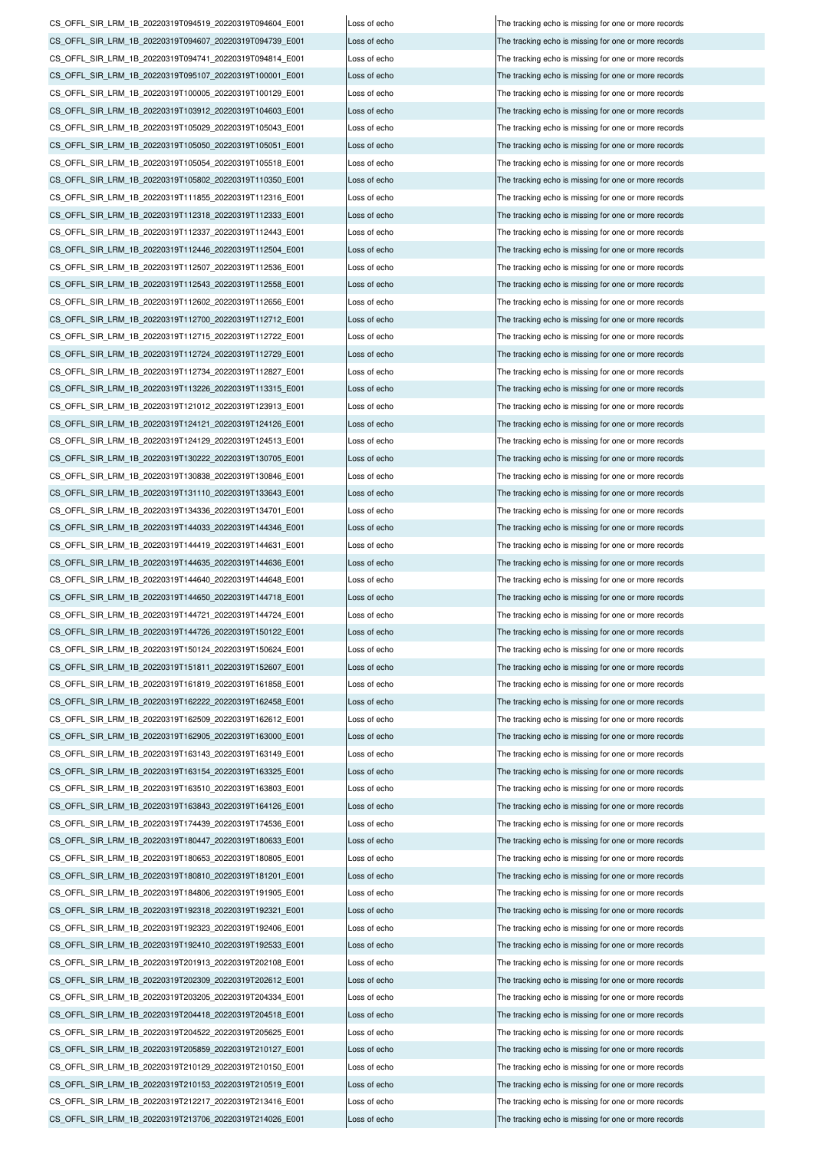CS\_OFFL\_SIR\_LRM\_1B\_20220319T094519\_20220319T094604\_E001 Loss of echo The tracking echo is missing for one or more records CS\_OFFL\_SIR\_LRM\_1B\_20220319T094607\_20220319T094739\_E001 Loss of echo The tracking echo is missing for one or more records CS\_OFFL\_SIR\_LRM\_1B\_20220319T094741\_20220319T094814\_E001 Loss of echo The tracking echo is missing for one or more records CS\_OFFL\_SIR\_LRM\_1B\_20220319T095107\_20220319T100001\_E001 Loss of echo The tracking echo is missing for one or more records CS\_OFFL\_SIR\_LRM\_1B\_20220319T100005\_20220319T100129\_E001 Loss of echo The tracking echo is missing for one or more records CS\_OFFL\_SIR\_LRM\_1B\_20220319T103912\_20220319T104603\_E001 Loss of echo The tracking echo is missing for one or more records CS\_OFFL\_SIR\_LRM\_1B\_20220319T105029\_20220319T105043\_E001 Loss of echo The tracking echo is missing for one or more records CS\_OFFL\_SIR\_LRM\_1B\_20220319T105050\_20220319T105051\_E001 Loss of echo The tracking echo is missing for one or more records CS\_OFFL\_SIR\_LRM\_1B\_20220319T105054\_20220319T105518\_E001 Loss of echo The tracking echo is missing for one or more records CS\_OFFL\_SIR\_LRM\_1B\_20220319T105802\_20220319T110350\_E001 Loss of echo The tracking echo is missing for one or more records CS\_OFFL\_SIR\_LRM\_1B\_20220319T111855\_20220319T112316\_E001 Loss of echo The tracking echo is missing for one or more records CS\_OFFL\_SIR\_LRM\_1B\_20220319T112318\_20220319T112333\_E001 Loss of echo The tracking echo is missing for one or more records CS\_OFFL\_SIR\_LRM\_1B\_20220319T112337\_20220319T112443\_E001 Loss of echo The tracking echo is missing for one or more records CS\_OFFL\_SIR\_LRM\_1B\_20220319T112446\_20220319T112504\_E001 Loss of echo The tracking echo is missing for one or more records CS\_OFFL\_SIR\_LRM\_1B\_20220319T112507\_20220319T112536\_E001 Loss of echo The tracking echo is missing for one or more records CS\_OFFL\_SIR\_LRM\_1B\_20220319T112543\_20220319T112558\_E001 Loss of echo The tracking echo is missing for one or more records CS\_OFFL\_SIR\_LRM\_1B\_20220319T112602\_20220319T112656\_E001 Loss of echo The tracking echo is missing for one or more records CS\_OFFL\_SIR\_LRM\_1B\_20220319T112700\_20220319T112712\_E001 Loss of echo The tracking echo is missing for one or more records CS\_OFFL\_SIR\_LRM\_1B\_20220319T112715\_20220319T112722\_E001 Loss of echo The tracking echo is missing for one or more records CS\_OFFL\_SIR\_LRM\_1B\_20220319T112724\_20220319T112729\_E001 Loss of echo The tracking echo is missing for one or more records CS\_OFFL\_SIR\_LRM\_1B\_20220319T112734\_20220319T112827\_E001 Loss of echo The tracking echo is missing for one or more records CS\_OFFL\_SIR\_LRM\_1B\_20220319T113226\_20220319T113315\_E001 Loss of echo The tracking echo is missing for one or more records CS\_OFFL\_SIR\_LRM\_1B\_20220319T121012\_20220319T123913\_E001 Loss of echo The tracking echo is missing for one or more records CS\_OFFL\_SIR\_LRM\_1B\_20220319T124121\_20220319T124126\_E001 Loss of echo The tracking echo is missing for one or more records CS\_OFFL\_SIR\_LRM\_1B\_20220319T124129\_20220319T124513\_E001 Loss of echo The tracking echo is missing for one or more records CS\_OFFL\_SIR\_LRM\_1B\_20220319T130222\_20220319T130705\_E001 Loss of echo The tracking echo is missing for one or more records CS\_OFFL\_SIR\_LRM\_1B\_20220319T130838\_20220319T130846\_E001 Loss of echo The tracking echo is missing for one or more records CS\_OFFL\_SIR\_LRM\_1B\_20220319T131110\_20220319T133643\_E001 Loss of echo The tracking echo is missing for one or more records CS\_OFFL\_SIR\_LRM\_1B\_20220319T134336\_20220319T134701\_E001 Loss of echo The tracking echo is missing for one or more records CS\_OFFL\_SIR\_LRM\_1B\_20220319T144033\_20220319T144346\_E001 Loss of echo The tracking echo is missing for one or more records CS\_OFFL\_SIR\_LRM\_1B\_20220319T144419\_20220319T144631\_E001 Loss of echo The tracking echo is missing for one or more records CS\_OFFL\_SIR\_LRM\_1B\_20220319T144635\_20220319T144636\_E001 Loss of echo The tracking echo is missing for one or more records CS\_OFFL\_SIR\_LRM\_1B\_20220319T144640\_20220319T144648\_E001 Loss of echo The tracking echo is missing for one or more records CS\_OFFL\_SIR\_LRM\_1B\_20220319T144650\_20220319T144718\_E001 Loss of echo The tracking echo is missing for one or more records CS\_OFFL\_SIR\_LRM\_1B\_20220319T144721\_20220319T144724\_E001 Loss of echo The tracking echo is missing for one or more records CS\_OFFL\_SIR\_LRM\_1B\_20220319T144726\_20220319T150122\_E001 Loss of echo The tracking echo is missing for one or more records CS\_OFFL\_SIR\_LRM\_1B\_20220319T150124\_20220319T150624\_E001 Loss of echo The tracking echo is missing for one or more records CS\_OFFL\_SIR\_LRM\_1B\_20220319T151811\_20220319T152607\_E001 Loss of echo The tracking echo is missing for one or more records CS\_OFFL\_SIR\_LRM\_1B\_20220319T161819\_20220319T161858\_E001 Loss of echo The tracking echo is missing for one or more records CS\_OFFL\_SIR\_LRM\_1B\_20220319T162222\_20220319T162458\_E001 Loss of echo The tracking echo is missing for one or more records CS\_OFFL\_SIR\_LRM\_1B\_20220319T162509\_20220319T162612\_E001 Loss of echo The tracking echo is missing for one or more records CS\_OFFL\_SIR\_LRM\_1B\_20220319T162905\_20220319T163000\_E001 Loss of echo The tracking echo is missing for one or more records CS\_OFFL\_SIR\_LRM\_1B\_20220319T163143\_20220319T163149\_E001 Loss of echo The tracking echo is missing for one or more records CS\_OFFL\_SIR\_LRM\_1B\_20220319T163154\_20220319T163325\_E001 Loss of echo The tracking echo is missing for one or more records CS\_OFFL\_SIR\_LRM\_1B\_20220319T163510\_20220319T163803\_E001 Loss of echo The tracking echo is missing for one or more records CS\_OFFL\_SIR\_LRM\_1B\_20220319T163843\_20220319T164126\_E001 Loss of echo The tracking echo is missing for one or more records CS\_OFFL\_SIR\_LRM\_1B\_20220319T174439\_20220319T174536\_E001 Loss of echo The tracking echo is missing for one or more records CS\_OFFL\_SIR\_LRM\_1B\_20220319T180447\_20220319T180633\_E001 Loss of echo The tracking echo is missing for one or more records CS\_OFFL\_SIR\_LRM\_1B\_20220319T180653\_20220319T180805\_E001 Loss of echo The tracking echo is missing for one or more records CS\_OFFL\_SIR\_LRM\_1B\_20220319T180810\_20220319T181201\_E001 Loss of echo The tracking echo is missing for one or more records CS\_OFFL\_SIR\_LRM\_1B\_20220319T184806\_20220319T191905\_E001 Loss of echo The tracking echo is missing for one or more records CS\_OFFL\_SIR\_LRM\_1B\_20220319T192318\_20220319T192321\_E001 Loss of echo The tracking echo is missing for one or more records CS\_OFFL\_SIR\_LRM\_1B\_20220319T192323\_20220319T192406\_E001 Loss of echo CS\_OFFL\_SIR\_LRM\_1B\_20220319T192410\_20220319T192533\_E001 Loss of echo The tracking echo is missing for one or more records CS\_OFFL\_SIR\_LRM\_1B\_20220319T201913\_20220319T202108\_E001 Loss of echo The tracking echo is missing for one or more records CS\_OFFL\_SIR\_LRM\_1B\_20220319T202309\_20220319T202612\_E001 Loss of echo The tracking echo is missing for one or more records CS\_OFFL\_SIR\_LRM\_1B\_20220319T203205\_20220319T204334\_E001 Loss of echo The tracking echo is missing for one or more records CS\_OFFL\_SIR\_LRM\_1B\_20220319T204418\_20220319T204518\_E001 Loss of echo The tracking echo is missing for one or more records CS\_OFFL\_SIR\_LRM\_1B\_20220319T204522\_20220319T205625\_E001 Loss of echo The tracking echo is missing for one or more records CS\_OFFL\_SIR\_LRM\_1B\_20220319T205859\_20220319T210127\_E001 Loss of echo The tracking echo is missing for one or more records CS\_OFFL\_SIR\_LRM\_1B\_20220319T210129\_20220319T210150\_E001 Loss of echo The tracking echo is missing for one or more records CS\_OFFL\_SIR\_LRM\_1B\_20220319T210153\_20220319T210519\_E001 Loss of echo The tracking echo is missing for one or more records CS\_OFFL\_SIR\_LRM\_1B\_20220319T212217\_20220319T213416\_E001 Loss of echo The tracking echo is missing for one or more records CS\_OFFL\_SIR\_LRM\_1B\_20220319T213706\_20220319T214026\_E001 Loss of echo

The tracking echo is missing for one or more records The tracking echo is missing for one or more records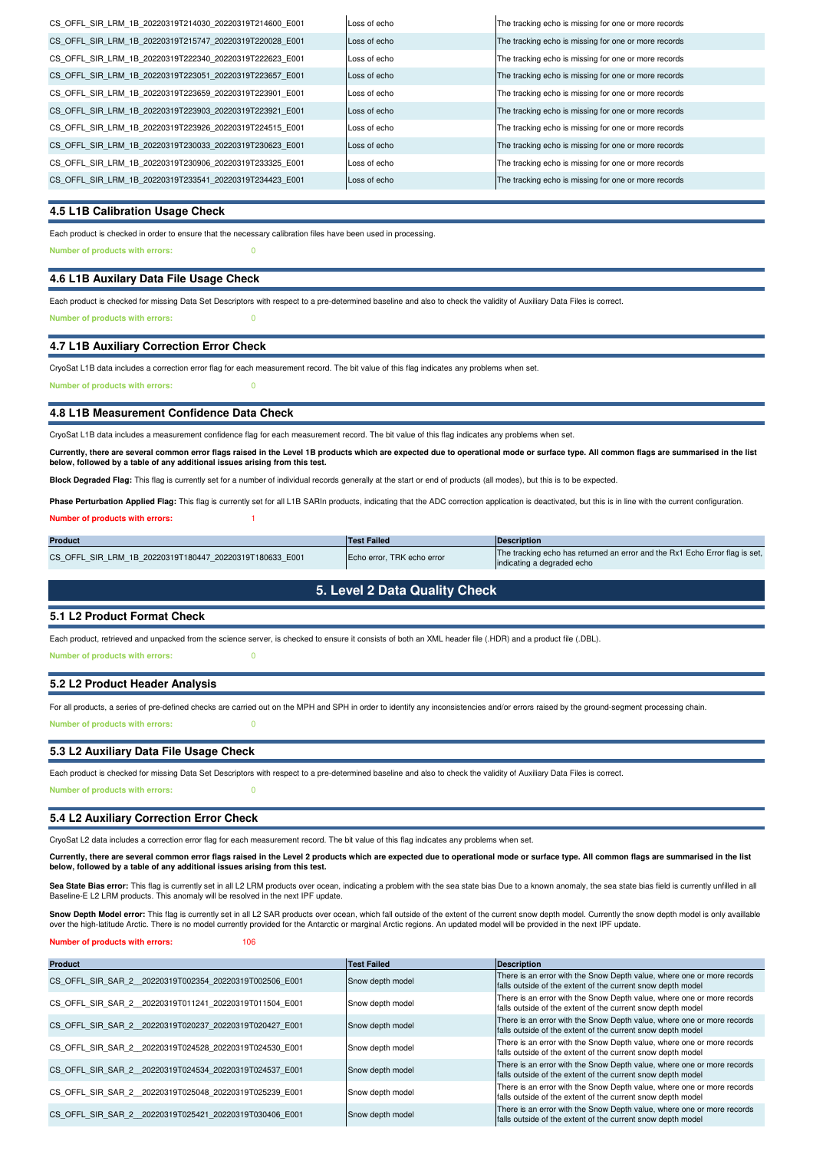| CS OFFL SIR LRM 1B 20220319T214030 20220319T214600 E001 | Loss of echo | The tracking echo is missing for one or more records |
|---------------------------------------------------------|--------------|------------------------------------------------------|
| CS OFFL SIR LRM 1B 20220319T215747 20220319T220028 E001 | Loss of echo | The tracking echo is missing for one or more records |
| CS OFFL SIR LRM 1B 20220319T222340 20220319T222623 E001 | Loss of echo | The tracking echo is missing for one or more records |
| CS OFFL SIR LRM 1B 20220319T223051 20220319T223657 E001 | Loss of echo | The tracking echo is missing for one or more records |
| CS OFFL SIR LRM 1B 20220319T223659 20220319T223901 E001 | Loss of echo | The tracking echo is missing for one or more records |
| CS OFFL SIR LRM 1B 20220319T223903 20220319T223921 E001 | Loss of echo | The tracking echo is missing for one or more records |
| CS OFFL SIR LRM 1B 20220319T223926 20220319T224515 E001 | Loss of echo | The tracking echo is missing for one or more records |
| CS OFFL SIR LRM 1B 20220319T230033 20220319T230623 E001 | Loss of echo | The tracking echo is missing for one or more records |
| CS OFFL SIR LRM 1B 20220319T230906 20220319T233325 E001 | Loss of echo | The tracking echo is missing for one or more records |
| CS OFFL SIR LRM 1B 20220319T233541 20220319T234423 E001 | Loss of echo | The tracking echo is missing for one or more records |
|                                                         |              |                                                      |

#### **4.5 L1B Calibration Usage Check**

Each product is checked in order to ensure that the necessary calibration files have been used in processing.

**Number of products with errors:** 0

#### **4.6 L1B Auxilary Data File Usage Check**

Each product is checked for missing Data Set Descriptors with respect to a pre-determined baseline and also to check the validity of Auxiliary Data Files is correct.

**Number of products with errors:** 0

#### **4.7 L1B Auxiliary Correction Error Check**

CryoSat L1B data includes a correction error flag for each measurement record. The bit value of this flag indicates any problems when set.

**Number of products with errors:** 0

#### **4.8 L1B Measurement Confidence Data Check**

CryoSat L1B data includes a measurement confidence flag for each measurement record. The bit value of this flag indicates any problems when set.

**Currently, there are several common error flags raised in the Level 1B products which are expected due to operational mode or surface type. All common flags are summarised in the list below, followed by a table of any additional issues arising from this test.**

**Block Degraded Flag:** This flag is currently set for a number of individual records generally at the start or end of products (all modes), but this is to be expected.

**Number of products with errors:** 1 Phase Perturbation Applied Flag: This flag is currently set for all L1B SARIn products, indicating that the ADC correction application is deactivated, but this is in line with the current configuration.

| <b>Product</b>                                          | <b>Test Failed</b>         | <b>IDescription</b>                                                                                       |
|---------------------------------------------------------|----------------------------|-----------------------------------------------------------------------------------------------------------|
| CS OFFL SIR LRM 1B 20220319T180447 20220319T180633 E001 | Echo error. TRK echo error | The tracking echo has returned an error and the Rx1 Echo Error flag is set,<br>indicating a degraded echo |

## **5. Level 2 Data Quality Check**

#### **5.1 L2 Product Format Check**

Each product, retrieved and unpacked from the science server, is checked to ensure it consists of both an XML header file (.HDR) and a product file (.DBL).

**Number of products with errors:** 0

## **5.2 L2 Product Header Analysis**

**Number of products with errors:** 0 For all products, a series of pre-defined checks are carried out on the MPH and SPH in order to identify any inconsistencies and/or errors raised by the ground-segment processing chain.

#### **5.3 L2 Auxiliary Data File Usage Check**

Each product is checked for missing Data Set Descriptors with respect to a pre-determined baseline and also to check the validity of Auxiliary Data Files is correct.

**Number of products with errors:** 0

#### **5.4 L2 Auxiliary Correction Error Check**

CryoSat L2 data includes a correction error flag for each measurement record. The bit value of this flag indicates any problems when set.

**Currently, there are several common error flags raised in the Level 2 products which are expected due to operational mode or surface type. All common flags are summarised in the list below, followed by a table of any additional issues arising from this test.**

Sea State Bias error: This flag is currently set in all L2 LRM products over ocean, indicating a problem with the sea state bias fou on a known anomaly, the sea state bias field is currently unfilled in all Baseline-E L2 LRM products. This anomaly will be resolved in the next IPF update.

**Snow Depth Model error:** This flag is currently set in all L2 SAR products over ocean, which fall outside of the extent of the current snow depth model. Currently the snow depth model is only availlable<br>over the high-lati

#### **Number of products with errors:** 106

| <b>Product</b>                                         | <b>Test Failed</b> | Description                                                                                                                           |
|--------------------------------------------------------|--------------------|---------------------------------------------------------------------------------------------------------------------------------------|
| CS OFFL SIR SAR 2 20220319T002354 20220319T002506 E001 | Snow depth model   | There is an error with the Snow Depth value, where one or more records<br>falls outside of the extent of the current snow depth model |
| CS OFFL SIR SAR 2 20220319T011241 20220319T011504 E001 | Snow depth model   | There is an error with the Snow Depth value, where one or more records<br>falls outside of the extent of the current snow depth model |
| CS OFFL SIR SAR 2 20220319T020237 20220319T020427 E001 | Snow depth model   | There is an error with the Snow Depth value, where one or more records<br>falls outside of the extent of the current snow depth model |
| CS OFFL SIR SAR 2 20220319T024528 20220319T024530 E001 | Snow depth model   | There is an error with the Snow Depth value, where one or more records<br>falls outside of the extent of the current snow depth model |
| CS OFFL SIR SAR 2 20220319T024534 20220319T024537 E001 | Snow depth model   | There is an error with the Snow Depth value, where one or more records<br>falls outside of the extent of the current snow depth model |
| CS OFFL SIR SAR 2 20220319T025048 20220319T025239 E001 | Snow depth model   | There is an error with the Snow Depth value, where one or more records<br>falls outside of the extent of the current snow depth model |
| CS OFFL SIR SAR 2 20220319T025421 20220319T030406 E001 | Snow depth model   | There is an error with the Snow Depth value, where one or more records<br>falls outside of the extent of the current snow depth model |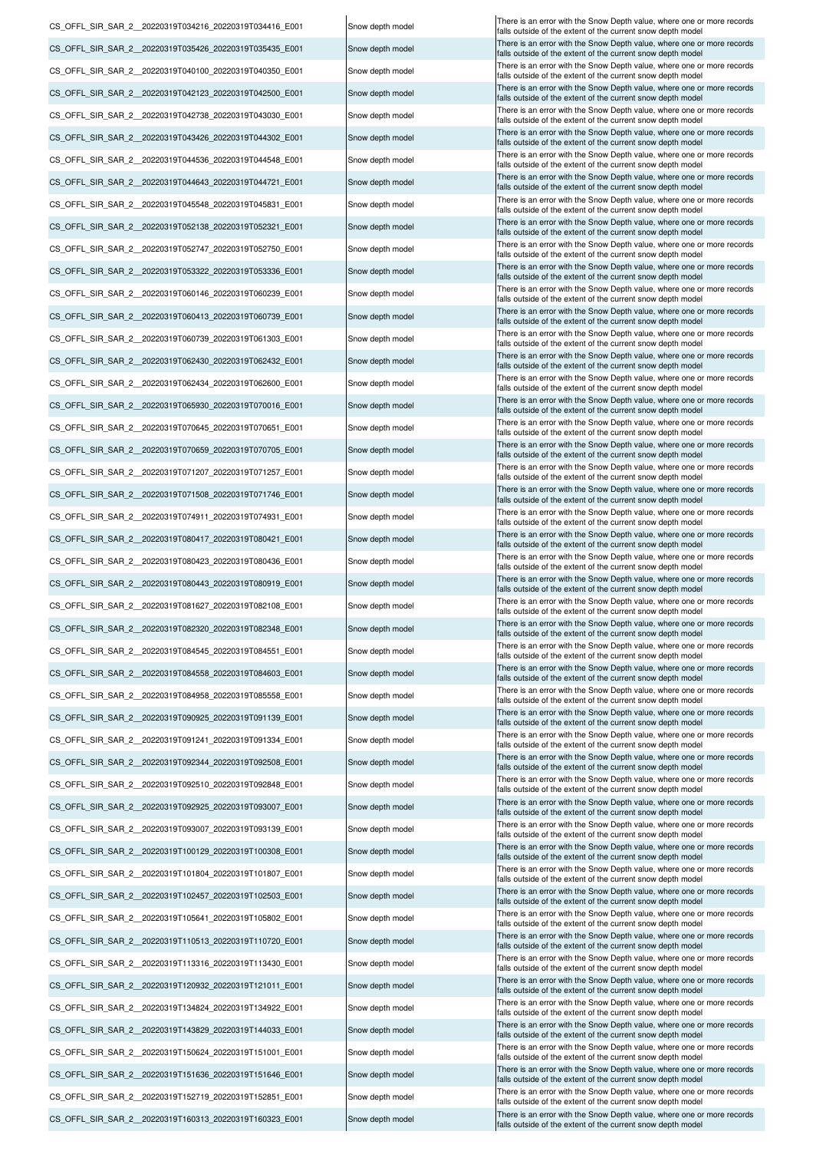CS\_OFFL\_SIR\_SAR\_2\_20220319T151636\_20220319T151646\_E001 Snow depth model There is an error with the Snow Depth value, where one or more records CS\_OFFL\_SIR\_SAR\_2\_20220319T152719\_20220319T152851\_E001 Snow depth model There is an error with the Snow Depth value, where one or more records CS\_OFFL\_SIR\_SAR\_2\_\_20220319T160313\_20220319T160323\_E001 Snow depth model There is an error with the Snow Depth value, where one or more records CS\_OFFL\_SIR\_SAR\_2\_20220319T110513\_20220319T110720\_E001 Snow depth model There is an error with the Snow Depth value, where one or more records CS\_OFFL\_SIR\_SAR\_2\_\_20220319T113316\_20220319T113430\_E001 Snow depth model There is an error with the Snow Depth value, where one or more records CS\_OFFL\_SIR\_SAR\_2\_20220319T120932\_20220319T121011\_E001 Snow depth model There is an error with the Snow Depth value, where one or more records CS\_OFFL\_SIR\_SAR\_2\_20220319T134824\_20220319T134922\_E001 Snow depth model There is an error with the Snow Depth value, where one or more records CS\_OFFL\_SIR\_SAR\_2\_\_20220319T143829\_20220319T144033\_E001 Snow depth model There is an error with the Snow Depth value, where one or more records CS\_OFFL\_SIR\_SAR\_2\_20220319T150624\_20220319T151001\_E001 Snow depth model There is an error with the Snow Depth value, where one or more records CS\_OFFL\_SIR\_SAR\_2\_20220319T092925\_20220319T093007\_E001 Snow depth model There is an error with the Snow Depth value, where one or more records CS\_OFFL\_SIR\_SAR\_2\_\_20220319T093007\_20220319T093139\_E001 Snow depth model There is an error with the Snow Depth value, where one or more records CS\_OFFL\_SIR\_SAR\_2\_\_20220319T100129\_20220319T100308\_E001 Snow depth model There is an error with the Snow Depth value, where one or more records CS\_OFFL\_SIR\_SAR\_2\_\_20220319T101804\_20220319T101807\_E001 Snow depth model There is an error with the Snow Depth value, where one or more records Snow depth model falls outside of the extent of the current snow depth model CS\_OFFL\_SIR\_SAR\_2\_\_20220319T102457\_20220319T102503\_E001 Snow depth model There is an error with the Snow Depth value, where one or more records CS\_OFFL\_SIR\_SAR\_2\_20220319T105641\_20220319T105802\_E001 Snow depth model There is an error with the Snow Depth value, where one or more records CS\_OFFL\_SIR\_SAR\_2\_20220319T084558\_20220319T084603\_E001 Snow depth model There is an error with the Snow Depth value, where one or more records CS\_OFFL\_SIR\_SAR\_2\_20220319T084958\_20220319T085558\_E001 Snow depth model There is an error with the Snow Depth value, where one or more records CS\_OFFL\_SIR\_SAR\_2\_\_20220319T090925\_20220319T091139\_E001 Snow depth model CS\_OFFL\_SIR\_SAR\_2\_\_20220319T091241\_20220319T091334\_E001 Snow depth model There is an error with the Snow Depth value, where one or more records CS\_OFFL\_SIR\_SAR\_2\_\_20220319T092344\_20220319T092508\_E001 Snow depth model There is an error with the Snow Depth value, where one or more records CS\_OFFL\_SIR\_SAR\_2\_20220319T092510\_20220319T092848\_E001 Snow depth model Snow Depth value, where one or more records CS\_OFFL\_SIR\_SAR\_2\_20220319T080417\_20220319T080421\_E001 Snow depth model There is an error with the Snow Depth value, where one or more records CS\_OFFL\_SIR\_SAR\_2\_20220319T080423\_20220319T080436\_E001 Snow depth model There is an error with the Snow Depth value, where one or more records CS\_OFFL\_SIR\_SAR\_2\_20220319T080443\_20220319T080919\_E001 Snow depth model There is an error with the Snow Depth value, where one or more records CS\_OFFL\_SIR\_SAR\_2\_20220319T081627\_20220319T082108\_E001 Snow depth model There is an error with the Snow Depth value, where one or more records CS\_OFFL\_SIR\_SAR\_2\_\_20220319T082320\_20220319T082348\_E001 Snow depth model There is an error with the Snow Depth value, where one or more records CS\_OFFL\_SIR\_SAR\_2\_\_20220319T084545\_20220319T084551\_E001 Snow depth model There is an error with the Snow Depth value, where one or more records CS\_OFFL\_SIR\_SAR\_2\_\_20220319T042123\_20220319T042500\_E001 CS\_OFFL\_SIR\_SAR\_2\_\_20220319T042738\_20220319T043030\_E001 CS\_OFFL\_SIR\_SAR\_2\_\_20220319T043426\_20220319T044302\_E001 CS\_OFFL\_SIR\_SAR\_2\_\_20220319T044536\_20220319T044548\_E001 CS\_OFFL\_SIR\_SAR\_2\_\_20220319T044643\_20220319T044721\_E001 CS\_OFFL\_SIR\_SAR\_2\_\_20220319T070645\_20220319T070651\_E001 CS\_OFFL\_SIR\_SAR\_2\_\_20220319T052138\_20220319T052321\_E001 CS\_OFFL\_SIR\_SAR\_2\_\_20220319T052747\_20220319T052750\_E001 CS\_OFFL\_SIR\_SAR\_2\_\_20220319T053322\_20220319T053336\_E001 CS\_OFFL\_SIR\_SAR\_2\_\_20220319T060413\_20220319T060739\_E001 CS\_OFFL\_SIR\_SAR\_2\_\_20220319T060739\_20220319T061303\_E001 CS\_OFFL\_SIR\_SAR\_2\_\_20220319T062430\_20220319T062432\_E001 CS\_OFFL\_SIR\_SAR\_2\_\_20220319T062434\_20220319T062600\_E001 CS\_OFFL\_SIR\_SAR\_2\_\_20220319T065930\_20220319T070016\_E001 CS\_OFFL\_SIR\_SAR\_2\_\_20220319T035426\_20220319T035435\_E001 CS\_OFFL\_SIR\_SAR\_2\_\_20220319T045548\_20220319T045831\_E001 CS\_OFFL\_SIR\_SAR\_2\_\_20220319T060146\_20220319T060239\_E001 CS\_OFFL\_SIR\_SAR\_2\_\_20220319T070659\_20220319T070705\_E001 CS\_OFFL\_SIR\_SAR\_2\_\_20220319T071207\_20220319T071257\_E001 CS\_OFFL\_SIR\_SAR\_2\_\_20220319T071508\_20220319T071746\_E001 CS\_OFFL\_SIR\_SAR\_2\_\_20220319T074911\_20220319T074931\_E001 CS\_OFFL\_SIR\_SAR\_2\_\_20220319T034216\_20220319T034416\_E001 CS\_OFFL\_SIR\_SAR\_2\_\_20220319T040100\_20220319T040350\_E001

Snow depth model Snow depth model Snow depth model Snow depth model Snow depth model Snow depth model Snow depth model Snow depth model Snow depth model Snow depth model Snow depth model Snow depth model Snow depth model Snow depth model Snow depth model Snow depth model Snow depth model Snow depth model Snow depth model Snow depth model Snow depth model Snow depth model Snow depth model

falls outside of the extent of the current snow depth model falls outside of the extent of the current snow depth model falls outside of the extent of the current snow depth model falls outside of the extent of the current snow depth model falls outside of the extent of the current snow depth mode falls outside of the extent of the current snow depth mode alls outside of the extent of the current snow depth mode alls outside of the extent of the current snow depth model falls outside of the extent of the current snow depth model falls outside of the extent of the current snow depth model falls outside of the extent of the current snow depth model falls outside of the extent of the current snow depth model falls outside of the extent of the current snow depth model alls outside of the extent of the current snow depth model falls outside of the extent of the current snow depth model falls outside of the extent of the current snow depth model<br>There is an error with the Snow Depth value, where one or more records falls outside of the extent of the current snow depth mode falls outside of the extent of the current snow depth mode falls outside of the extent of the current snow depth mode falls outside of the extent of the current snow depth model alls outside of the extent of the current snow depth model alls outside of the extent of the current snow depth model falls outside of the extent of the current snow depth model falls outside of the extent of the current snow depth model falls outside of the extent of the current snow depth model falls outside of the extent of the current snow depth model There is an error with the Snow Depth value, where one or mo falls outside of the extent of the current snow depth model There is an error with the Snow Depth value, where one or more records falls outside of the extent of the current snow depth model There is an error with the Snow Depth value, where one or more records falls outside of the extent of the current snow depth mode There is an error with the Snow Depth value, where one or more records falls outside of the extent of the current snow depth mode There is an error with the Snow Depth value, where one or more records falls outside of the extent of the current snow depth model There is an error with the Snow Depth value, where one or more records alls outside of the extent of the current snow depth model There is an error with the Snow Depth value, where one or more records falls outside of the extent of the current snow depth model There is an error with the Snow Depth value, where one or more records falls outside of the extent of the current snow depth model There is an error with the Snow Depth value, where one or more records alls outside of the extent of the current snow depth mode There is an error with the Snow Depth value, where one or more records falls outside of the extent of the current snow depth model There is an error with the Snow Depth value, where one or more records falls outside of the extent of the current snow depth mode There is an error with the Snow Depth value, where one or more records falls outside of the extent of the current snow depth model There is an error with the Snow Depth value, where one or more records falls outside of the extent of the current snow depth model There is an error with the Snow Depth value, where one or more records falls outside of the extent of the current snow depth model There is an error with the Snow Depth value, where one or more records falls outside of the extent of the current snow depth model There is an error with the Snow Depth value, where one or more records alls outside of the extent of the current snow depth model There is an error with the Snow Depth value, where one or more records alls outside of the extent of the current snow depth mode There is an error with the Snow Depth value, where one or more records alls outside of the extent of the current snow depth model There is an error with the Snow Depth value, where one or more records falls outside of the extent of the current snow depth model There is an error with the Snow Depth value, where one or more records falls outside of the extent of the current snow depth model There is an error with the Snow Depth value, where one or more records falls outside of the extent of the current snow depth model There is an error with the Snow Depth value, where one or more records falls outside of the extent of the current snow depth model There is an error with the Snow Depth value, where one or more records falls outside of the extent of the current snow depth model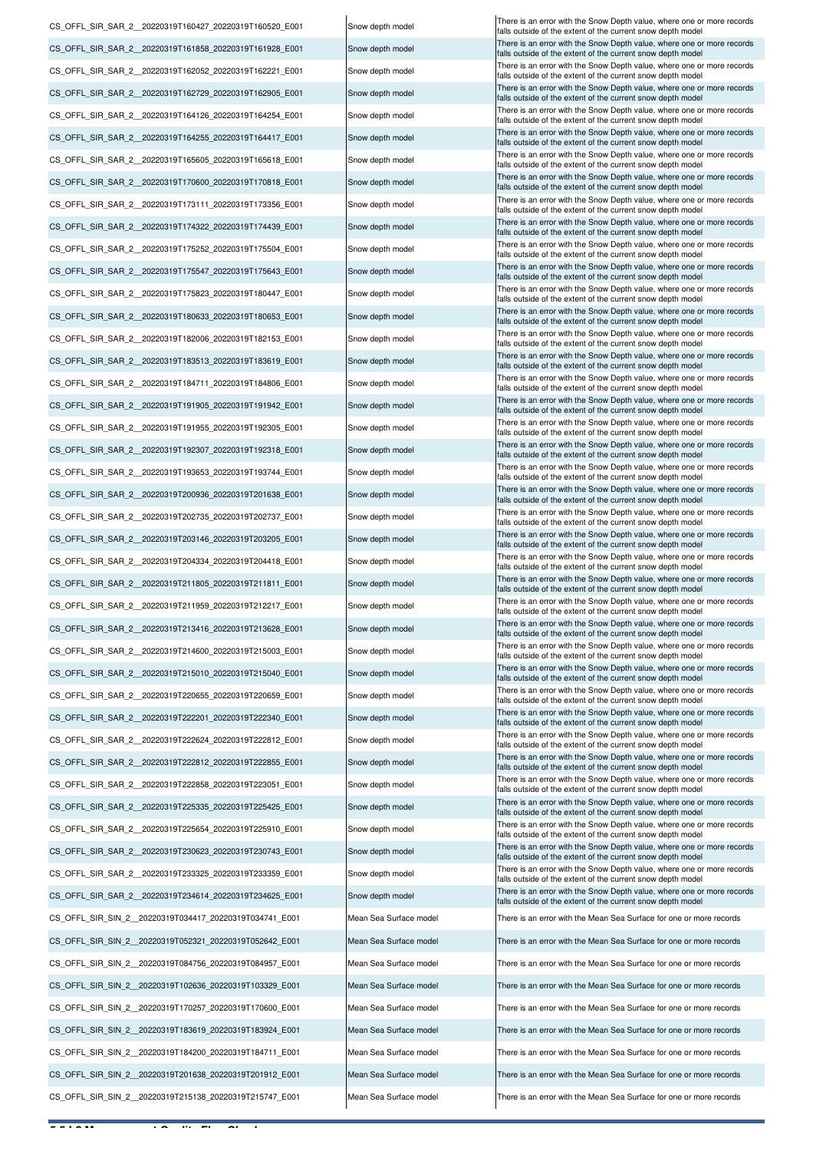CS\_OFFL\_SIR\_SAR\_2\_20220319T161858\_20220319T161928\_E001 Snow depth model There is an error with the Snow Depth value, where one or more records CS\_OFFL\_SIR\_SAR\_2\_20220319T162052\_20220319T162221\_E001 Snow depth model There is an error with the Snow Depth value, where one or more records CS\_OFFL\_SIR\_SAR\_2\_\_20220319T162729\_20220319T162905\_E001 Snow depth model There is an error with the Snow Depth value, where one or more records CS\_OFFL\_SIR\_SAR\_2\_20220319T164126\_20220319T164254\_E001 Snow depth model There is an error with the Snow Depth value, where one or more records CS\_OFFL\_SIR\_SAR\_2\_20220319T164255\_20220319T164417\_E001 Snow depth model There is an error with the Snow Depth value, where one or more records CS\_OFFL\_SIR\_SAR\_2\_\_20220319T165605\_20220319T165618\_E001 Snow depth model There is an error with the Snow Depth value, where one or more records CS\_OFFL\_SIR\_SAR\_2\_20220319T170600\_20220319T170818\_E001 Snow depth model There is an error with the Snow Depth value, where one or more records CS\_OFFL\_SIR\_SAR\_2\_20220319T173111\_20220319T173356\_E001 Snow depth model There is an error with the Snow Depth value, where one or more records CS\_OFFL\_SIR\_SAR\_2\_\_20220319T200936\_20220319T201638\_E001 Snow depth model There is an error with the Snow Depth value, where one or more records CS\_OFFL\_SIR\_SAR\_2\_\_20220319T174322\_20220319T174439\_E001 Snow depth model CS\_OFFL\_SIR\_SAR\_2\_20220319T175252\_20220319T175504\_E001 Snow depth model There is an error with the Snow Depth value, where one or more records CS\_OFFL\_SIR\_SAR\_2\_\_20220319T175547\_20220319T175643\_E001 Snow depth model There is an error with the Snow Depth value, where one or more records CS\_OFFL\_SIR\_SAR\_2\_20220319T175823\_20220319T180447\_E001 Snow depth model There is an error with the Snow Depth value, where one or more records CS\_OFFL\_SIR\_SAR\_2\_20220319T180633\_20220319T180653\_E001 Snow depth model There is an error with the Snow Depth value, where one or more records CS\_OFFL\_SIR\_SAR\_2\_\_20220319T182006\_20220319T182153\_E001 Snow depth model There is an error with the Snow Depth value, where one or more records CS\_OFFL\_SIR\_SAR\_2\_\_20220319T183513\_20220319T183619\_E001 Snow depth model There is an error with the Snow Depth value, where one or more records CS\_OFFL\_SIR\_SAR\_2\_20220319T184711\_20220319T184806\_E001 Snow depth model There is an error with the Snow Depth value, where one or more records CS\_OFFL\_SIR\_SAR\_2\_\_20220319T191905\_20220319T191942\_E001 Snow depth model There is an error with the Snow Depth value, where one or more records Snow depth model falls outside of the extent of the current snow depth model CS\_OFFL\_SIR\_SAR\_2\_20220319T191955\_20220319T192305\_E001 Snow depth model There is an error with the Snow Depth value, where one or more records CS\_OFFL\_SIR\_SAR\_2\_20220319T192307\_20220319T192318\_E001 Snow depth model There is an error with the Snow Depth value, where one or more records CS\_OFFL\_SIR\_SAR\_2\_\_20220319T193653\_20220319T193744\_E001 Snow depth model There is an error with the Snow Depth value, where one or more records CS\_OFFL\_SIR\_SAR\_2\_20220319T202735\_20220319T202737\_E001 Snow depth model There is an error with the Snow Depth value, where one or more records CS\_OFFL\_SIR\_SAR\_2\_20220319T203146\_20220319T203205\_E001 Snow depth model There is an error with the Snow Depth value, where one or more records CS\_OFFL\_SIR\_SAR\_2\_20220319T204334\_20220319T204418\_E001 Snow depth model There is an error with the Snow Depth value, where one or more records CS\_OFFL\_SIR\_SAR\_2\_20220319T211805\_20220319T211811\_E001 Snow depth model There is an error with the Snow Depth value, where one or more records CS\_OFFL\_SIR\_SAR\_2\_20220319T211959\_20220319T212217\_E001 Snow depth model There is an error with the Snow Depth value, where one or more records CS\_OFFL\_SIR\_SAR\_2\_\_20220319T222201\_20220319T222340\_E001 Snow depth model CS\_OFFL\_SIR\_SAR\_2\_\_20220319T213416\_20220319T213628\_E001 Snow depth model There is an error with the Snow Depth value, where one or more records CS\_OFFL\_SIR\_SAR\_2\_\_20220319T214600\_20220319T215003\_E001 Snow depth model There is an error with the Snow Depth value, where one or more records CS\_OFFL\_SIR\_SAR\_2\_20220319T215010\_20220319T215040\_E001 Snow depth model There is an error with the Snow Depth value, where one or more records CS\_OFFL\_SIR\_SAR\_2\_\_20220319T220655\_20220319T220659\_E001 Snow depth model CS\_OFFL\_SIR\_SAR\_2\_\_20220319T222624\_20220319T222812\_E001 Snow depth model There is an error with the Snow Depth value, where one or more records CS\_OFFL\_SIR\_SAR\_2\_\_20220319T222858\_20220319T223051\_E001 Snow depth model There is an error with the Snow Depth value, where one or more records CS\_OFFL\_SIR\_SAR\_2\_\_20220319T225335\_20220319T225425\_E001 Snow depth model There is an error with the Snow Depth value, where one or more records CS\_OFFL\_SIR\_SAR\_2\_\_20220319T225654\_20220319T225910\_E001 Snow depth model There is an error with the Snow Depth value, where one or more records CS\_OFFL\_SIR\_SAR\_2\_\_20220319T230623\_20220319T230743\_E001 Snow depth model There is an error with the Snow Depth value, where one or more records CS\_OFFL\_SIR\_SAR\_2\_\_20220319T222812\_20220319T222855\_E001 Snow depth model There is an error with the Snow Depth value, where one or more records CS\_OFFL\_SIR\_SAR\_2\_\_20220319T233325\_20220319T233359\_E001 Snow depth model There is an error with the Snow Depth value, where one or more records Snow depth model falls outside of the extent of the current snow depth model CS\_OFFL\_SIR\_SIN\_2 \_20220319T102636\_20220319T103329\_E001 Mean Sea Surface model There is an error with the Mean Sea Surface for one or more records CS\_OFFL\_SIR\_SAR\_2\_20220319T234614\_20220319T234625\_E001 Snow depth model There is an error with the Snow Depth value, where one or more records CS\_OFFL\_SIR\_SIN\_2 \_ 20220319T034417\_20220319T034741\_E001 Mean Sea Surface model There is an error with the Mean Sea Surface for one or more records CS\_OFFL\_SIR\_SIN\_2\_\_20220319T052321\_20220319T052642\_E001 Mean Sea Surface model There is an error with the Mean Sea Surface for one or more records CS\_OFFL\_SIR\_SIN\_2\_\_20220319T084756\_20220319T084957\_E001 Mean Sea Surface model CS\_OFFL\_SIR\_SIN\_2\_20220319T170257\_20220319T170600\_E001 Mean Sea Surface model There is an error with the Mean Sea Surface for one or more records CS\_OFFL\_SIR\_SIN\_2\_20220319T184200\_20220319T184711\_E001 Mean Sea Surface model There is an error with the Mean Sea Surface for one or more records CS\_OFFL\_SIR\_SIN\_2\_\_20220319T201638\_20220319T201912\_E001 Mean Sea Surface model There is an error with the Mean Sea Surface for one or more records CS\_OFFL\_SIR\_SIN\_2 \_20220319T215138\_20220319T215747\_E001 Mean Sea Surface model There is an error with the Mean Sea Surface for one or more records CS\_OFFL\_SIR\_SIN\_2 \_20220319T183619\_20220319T183924\_E001 Mean Sea Surface model There is an error with the Mean Sea Surface for one or more records

CS\_OFFL\_SIR\_SAR\_2\_20220319T160427\_20220319T160520\_E001 Snow depth model There is an error with the Snow Depth value, where one or more records alls outside of the extent of the current snow depth mode alls outside of the extent of the current snow depth model alls outside of the extent of the current snow depth model falls outside of the extent of the current snow depth model falls outside of the extent of the current snow depth model falls outside of the extent of the current snow depth model falls outside of the extent of the current snow depth model falls outside of the extent of the current snow depth model falls outside of the extent of the current snow depth model<br>There is an error with the Snow Depth value, where one or more records falls outside of the extent of the current snow depth model falls outside of the extent of the current snow depth model falls outside of the extent of the current snow depth mode falls outside of the extent of the current snow depth model falls outside of the extent of the current snow depth model falls outside of the extent of the current snow depth model falls outside of the extent of the current snow depth model falls outside of the extent of the current snow depth model falls outside of the extent of the current snow depth model alls outside of the extent of the current snow depth model falls outside of the extent of the current snow depth model falls outside of the extent of the current snow depth model falls outside of the extent of the current snow depth model falls outside of the extent of the current snow depth model falls outside of the extent of the current snow depth model falls outside of the extent of the current snow depth model falls outside of the extent of the current snow depth model There is an error with the Snow Depth value, where one or more records falls outside of the extent of the current snow depth model<br>There is an error with the Snow Depth value, where one or more records falls outside of the extent of the current snow depth model falls outside of the extent of the current snow depth model falls outside of the extent of the current snow depth model falls outside of the extent of the current snow depth model falls outside of the extent of the current snow depth mode falls outside of the extent of the current snow depth model falls outside of the extent of the current snow depth model falls outside of the extent of the current snow depth model falls outside of the extent of the current snow depth model falls outside of the extent of the current snow depth model There is an error with the Mean Sea Surface for one or more records falls outside of the extent of the current snow depth model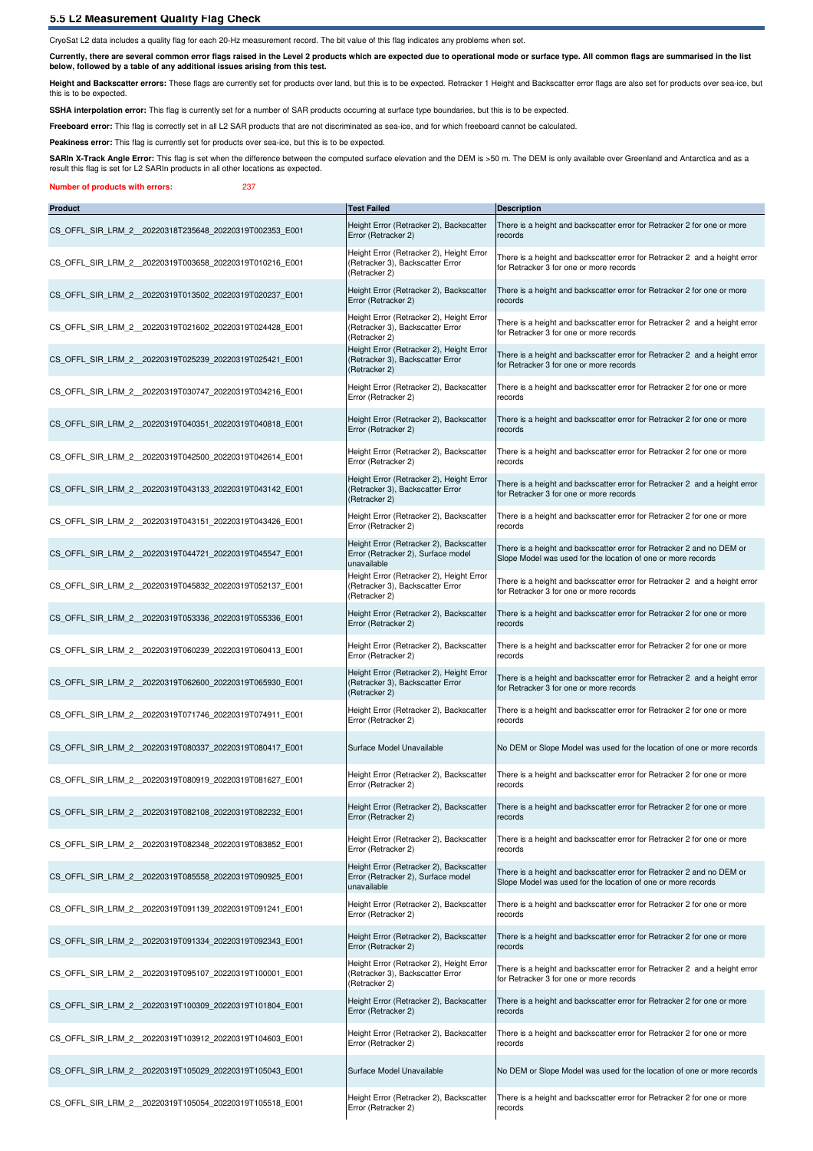### **5.5 L2 Measurement Quality Flag Check**

CryoSat L2 data includes a quality flag for each 20-Hz measurement record. The bit value of this flag indicates any problems when set.

**Currently, there are several common error flags raised in the Level 2 products which are expected due to operational mode or surface type. All common flags are summarised in the list below, followed by a table of any additional issues arising from this test.**

Height and Backscatter errors: These flags are currently set for products over land, but this is to be expected. Retracker 1 Height and Backscatter error flags are also set for products over sea-ice, but this is to be expected.

SSHA interpolation error: This flag is currently set for a number of SAR products occurring at surface type boundaries, but this is to be expected.

Freeboard error: This flag is correctly set in all L2 SAR products that are not discriminated as sea-ice, and for which freeboard cannot be calculated.

Peakiness error: This flag is currently set for products over sea-ice, but this is to be expected.

SARIn X-Track Angle Error: This flag is set when the difference between the computed surface elevation and the DEM is >50 m. The DEM is only available over Greenland and Antarctica and as a result this flag is set for L2 SARIn products in all other locations as expected.

### **Number of products with errors:** 237

| <b>Product</b>                                          | <b>Test Failed</b>                                                                            | <b>Description</b>                                                                                                                    |
|---------------------------------------------------------|-----------------------------------------------------------------------------------------------|---------------------------------------------------------------------------------------------------------------------------------------|
| CS OFFL SIR LRM 2 20220318T235648 20220319T002353 E001  | Height Error (Retracker 2), Backscatter<br>Error (Retracker 2)                                | There is a height and backscatter error for Retracker 2 for one or more<br>records                                                    |
| CS OFFL SIR LRM 2 20220319T003658 20220319T010216 E001  | Height Error (Retracker 2), Height Error<br>(Retracker 3), Backscatter Error<br>(Retracker 2) | There is a height and backscatter error for Retracker 2 and a height error<br>for Retracker 3 for one or more records                 |
| CS OFFL SIR LRM 2 20220319T013502 20220319T020237 E001  | Height Error (Retracker 2), Backscatter<br>Error (Retracker 2)                                | There is a height and backscatter error for Retracker 2 for one or more<br>records                                                    |
| CS OFFL SIR LRM 2 20220319T021602 20220319T024428 E001  | Height Error (Retracker 2), Height Error<br>(Retracker 3), Backscatter Error<br>(Retracker 2) | There is a height and backscatter error for Retracker 2 and a height error<br>for Retracker 3 for one or more records                 |
| CS OFFL SIR LRM 2 20220319T025239 20220319T025421 E001  | Height Error (Retracker 2), Height Error<br>(Retracker 3), Backscatter Error<br>(Retracker 2) | There is a height and backscatter error for Retracker 2 and a height error<br>for Retracker 3 for one or more records                 |
| CS OFFL SIR LRM 2 20220319T030747 20220319T034216 E001  | Height Error (Retracker 2), Backscatter<br>Error (Retracker 2)                                | There is a height and backscatter error for Retracker 2 for one or more<br>records                                                    |
| CS OFFL SIR LRM 2 20220319T040351 20220319T040818 E001  | Height Error (Retracker 2), Backscatter<br>Error (Retracker 2)                                | There is a height and backscatter error for Retracker 2 for one or more<br>records                                                    |
| CS OFFL SIR LRM 2 20220319T042500 20220319T042614 E001  | Height Error (Retracker 2), Backscatter<br>Error (Retracker 2)                                | There is a height and backscatter error for Retracker 2 for one or more<br>records                                                    |
| CS OFFL SIR LRM 2 20220319T043133 20220319T043142 E001  | Height Error (Retracker 2), Height Error<br>(Retracker 3), Backscatter Error<br>(Retracker 2) | There is a height and backscatter error for Retracker 2 and a height error<br>for Retracker 3 for one or more records                 |
| CS OFFL SIR LRM 2 20220319T043151 20220319T043426 E001  | Height Error (Retracker 2), Backscatter<br>Error (Retracker 2)                                | There is a height and backscatter error for Retracker 2 for one or more<br>records                                                    |
| CS OFFL SIR LRM 2 20220319T044721 20220319T045547 E001  | Height Error (Retracker 2), Backscatter<br>Error (Retracker 2), Surface model<br>unavailable  | There is a height and backscatter error for Retracker 2 and no DEM or<br>Slope Model was used for the location of one or more records |
| CS OFFL SIR LRM 2 20220319T045832 20220319T052137 E001  | Height Error (Retracker 2), Height Error<br>(Retracker 3), Backscatter Error<br>(Retracker 2) | There is a height and backscatter error for Retracker 2 and a height error<br>for Retracker 3 for one or more records                 |
| CS OFFL SIR LRM 2 20220319T053336 20220319T055336 E001  | Height Error (Retracker 2), Backscatter<br>Error (Retracker 2)                                | There is a height and backscatter error for Retracker 2 for one or more<br>records                                                    |
| CS OFFL SIR LRM 2 20220319T060239 20220319T060413 E001  | Height Error (Retracker 2), Backscatter<br>Error (Retracker 2)                                | There is a height and backscatter error for Retracker 2 for one or more<br>records                                                    |
| CS OFFL SIR LRM 2 20220319T062600 20220319T065930 E001  | Height Error (Retracker 2), Height Error<br>(Retracker 3), Backscatter Error<br>(Retracker 2) | There is a height and backscatter error for Retracker 2 and a height error<br>for Retracker 3 for one or more records                 |
| CS OFFL SIR LRM 2 20220319T071746 20220319T074911 E001  | Height Error (Retracker 2), Backscatter<br>Error (Retracker 2)                                | There is a height and backscatter error for Retracker 2 for one or more<br>records                                                    |
| CS OFFL SIR LRM 2 20220319T080337 20220319T080417 E001  | Surface Model Unavailable                                                                     | No DEM or Slope Model was used for the location of one or more records                                                                |
| CS OFFL SIR LRM 2 20220319T080919 20220319T081627 E001  | Height Error (Retracker 2), Backscatter<br>Error (Retracker 2)                                | There is a height and backscatter error for Retracker 2 for one or more<br>records                                                    |
| CS_OFFL_SIR_LRM_2__20220319T082108_20220319T082232_E001 | Height Error (Retracker 2), Backscatter<br>Error (Retracker 2)                                | There is a height and backscatter error for Retracker 2 for one or more<br>records                                                    |
| CS OFFL SIR LRM 2 20220319T082348 20220319T083852 E001  | Height Error (Retracker 2), Backscatter<br>Error (Retracker 2)                                | There is a height and backscatter error for Retracker 2 for one or more<br>records                                                    |
| CS OFFL SIR LRM 2 20220319T085558 20220319T090925 E001  | Height Error (Retracker 2), Backscatter<br>Error (Retracker 2), Surface model<br>unavailable  | There is a height and backscatter error for Retracker 2 and no DEM or<br>Slope Model was used for the location of one or more records |
| CS OFFL SIR LRM 2 20220319T091139 20220319T091241 E001  | Height Error (Retracker 2), Backscatter<br>Error (Retracker 2)                                | There is a height and backscatter error for Retracker 2 for one or more<br>records                                                    |
| CS OFFL SIR LRM 2 20220319T091334 20220319T092343 E001  | Height Error (Retracker 2), Backscatter<br>Error (Retracker 2)                                | There is a height and backscatter error for Retracker 2 for one or more<br>records                                                    |
| CS OFFL SIR LRM 2 20220319T095107 20220319T100001 E001  | Height Error (Retracker 2), Height Error<br>(Retracker 3), Backscatter Error<br>(Retracker 2) | There is a height and backscatter error for Retracker 2 and a height error<br>for Retracker 3 for one or more records                 |
| CS OFFL SIR LRM 2 20220319T100309 20220319T101804 E001  | Height Error (Retracker 2), Backscatter<br>Error (Retracker 2)                                | There is a height and backscatter error for Retracker 2 for one or more<br>records                                                    |
| CS OFFL SIR LRM 2 20220319T103912 20220319T104603 E001  | Height Error (Retracker 2), Backscatter<br>Error (Retracker 2)                                | There is a height and backscatter error for Retracker 2 for one or more<br>records                                                    |
| CS OFFL SIR LRM 2 20220319T105029 20220319T105043 E001  | Surface Model Unavailable                                                                     | No DEM or Slope Model was used for the location of one or more records                                                                |
| CS_OFFL_SIR_LRM_2__20220319T105054_20220319T105518_E001 | Height Error (Retracker 2), Backscatter<br>Error (Retracker 2)                                | There is a height and backscatter error for Retracker 2 for one or more<br>records                                                    |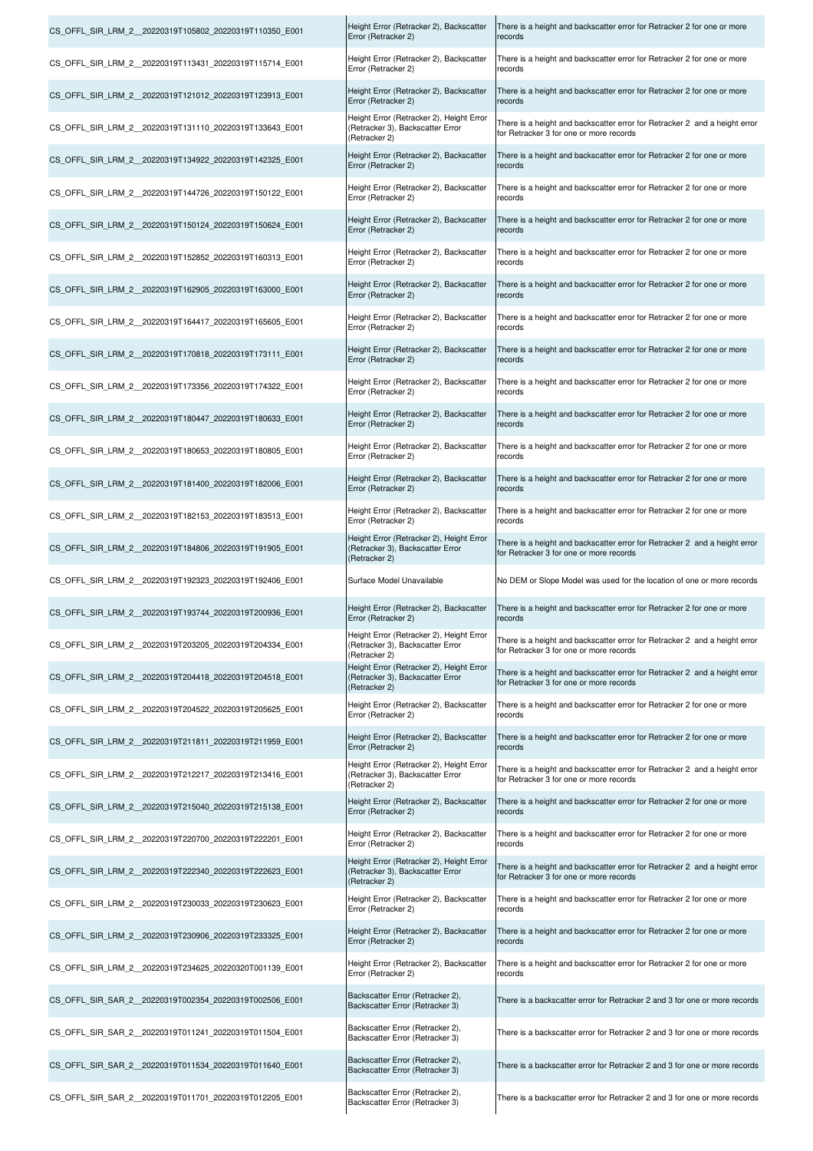| CS OFFL SIR LRM 2 20220319T105802 20220319T110350 E001 | Height Error (Retracker 2), Backscatter<br>Error (Retracker 2)                                | There is a height and backscatter error for Retracker 2 for one or more<br>records                                    |
|--------------------------------------------------------|-----------------------------------------------------------------------------------------------|-----------------------------------------------------------------------------------------------------------------------|
| CS OFFL SIR LRM 2 20220319T113431 20220319T115714 E001 | Height Error (Retracker 2), Backscatter<br>Error (Retracker 2)                                | There is a height and backscatter error for Retracker 2 for one or more<br>records                                    |
| CS OFFL SIR LRM 2 20220319T121012 20220319T123913 E001 | Height Error (Retracker 2), Backscatter<br>Error (Retracker 2)                                | There is a height and backscatter error for Retracker 2 for one or more<br>records                                    |
| CS OFFL SIR LRM 2 20220319T131110 20220319T133643 E001 | Height Error (Retracker 2), Height Error<br>(Retracker 3), Backscatter Error<br>(Retracker 2) | There is a height and backscatter error for Retracker 2 and a height error<br>for Retracker 3 for one or more records |
| CS OFFL SIR LRM 2 20220319T134922 20220319T142325 E001 | Height Error (Retracker 2), Backscatter<br>Error (Retracker 2)                                | There is a height and backscatter error for Retracker 2 for one or more<br>records                                    |
| CS OFFL SIR LRM 2 20220319T144726 20220319T150122 E001 | Height Error (Retracker 2), Backscatter<br>Error (Retracker 2)                                | There is a height and backscatter error for Retracker 2 for one or more<br>records                                    |
| CS OFFL SIR LRM 2 20220319T150124 20220319T150624 E001 | Height Error (Retracker 2), Backscatter<br>Error (Retracker 2)                                | There is a height and backscatter error for Retracker 2 for one or more<br>records                                    |
| CS OFFL SIR LRM 2 20220319T152852 20220319T160313 E001 | Height Error (Retracker 2), Backscatter<br>Error (Retracker 2)                                | There is a height and backscatter error for Retracker 2 for one or more<br>records                                    |
| CS OFFL SIR LRM 2 20220319T162905 20220319T163000 E001 | Height Error (Retracker 2), Backscatter<br>Error (Retracker 2)                                | There is a height and backscatter error for Retracker 2 for one or more<br>records                                    |
| CS OFFL SIR LRM 2 20220319T164417 20220319T165605 E001 | Height Error (Retracker 2), Backscatter<br>Error (Retracker 2)                                | There is a height and backscatter error for Retracker 2 for one or more<br>records                                    |
| CS OFFL SIR LRM 2 20220319T170818 20220319T173111 E001 | Height Error (Retracker 2), Backscatter<br>Error (Retracker 2)                                | There is a height and backscatter error for Retracker 2 for one or more<br>records                                    |
| CS OFFL SIR LRM 2 20220319T173356 20220319T174322 E001 | Height Error (Retracker 2), Backscatter<br>Error (Retracker 2)                                | There is a height and backscatter error for Retracker 2 for one or more<br>records                                    |
| CS OFFL SIR LRM 2 20220319T180447 20220319T180633 E001 | Height Error (Retracker 2), Backscatter<br>Error (Retracker 2)                                | There is a height and backscatter error for Retracker 2 for one or more<br>records                                    |
| CS OFFL SIR LRM 2 20220319T180653 20220319T180805 E001 | Height Error (Retracker 2), Backscatter<br>Error (Retracker 2)                                | There is a height and backscatter error for Retracker 2 for one or more<br>records                                    |
| CS OFFL SIR LRM 2 20220319T181400 20220319T182006 E001 | Height Error (Retracker 2), Backscatter<br>Error (Retracker 2)                                | There is a height and backscatter error for Retracker 2 for one or more<br>records                                    |
| CS OFFL SIR LRM 2 20220319T182153 20220319T183513 E001 | Height Error (Retracker 2), Backscatter<br>Error (Retracker 2)                                | There is a height and backscatter error for Retracker 2 for one or more<br>records                                    |
| CS OFFL SIR LRM 2 20220319T184806 20220319T191905 E001 | Height Error (Retracker 2), Height Error<br>(Retracker 3), Backscatter Error<br>(Retracker 2) | There is a height and backscatter error for Retracker 2 and a height error<br>for Retracker 3 for one or more records |
| CS OFFL SIR LRM 2 20220319T192323 20220319T192406 E001 | Surface Model Unavailable                                                                     | No DEM or Slope Model was used for the location of one or more records                                                |
|                                                        |                                                                                               |                                                                                                                       |
| CS OFFL SIR LRM 2 20220319T193744 20220319T200936 E001 | Height Error (Retracker 2), Backscatter<br>Error (Retracker 2)                                | There is a height and backscatter error for Retracker 2 for one or more<br>records                                    |
| CS_OFFL_SIR_LRM_2_20220319T203205_20220319T204334_E001 | Height Error (Retracker 2), Height Error<br>(Retracker 3), Backscatter Error<br>(Retracker 2) | There is a height and backscatter error for Retracker 2 and a height error<br>for Retracker 3 for one or more records |
| CS OFFL SIR LRM 2 20220319T204418 20220319T204518 E001 | Height Error (Retracker 2), Height Error<br>(Retracker 3), Backscatter Error<br>(Retracker 2) | There is a height and backscatter error for Retracker 2 and a height error<br>for Retracker 3 for one or more records |
| CS OFFL SIR LRM 2 20220319T204522 20220319T205625 E001 | Height Error (Retracker 2), Backscatter<br>Error (Retracker 2)                                | There is a height and backscatter error for Retracker 2 for one or more<br>records                                    |
| CS OFFL SIR LRM 2 20220319T211811 20220319T211959 E001 | Height Error (Retracker 2), Backscatter<br>Error (Retracker 2)                                | There is a height and backscatter error for Retracker 2 for one or more<br>records                                    |
| CS OFFL SIR LRM 2 20220319T212217 20220319T213416 E001 | Height Error (Retracker 2), Height Error<br>(Retracker 3), Backscatter Error<br>(Retracker 2) | There is a height and backscatter error for Retracker 2 and a height error<br>for Retracker 3 for one or more records |
| CS OFFL SIR LRM 2 20220319T215040 20220319T215138 E001 | Height Error (Retracker 2), Backscatter<br>Error (Retracker 2)                                | There is a height and backscatter error for Retracker 2 for one or more<br>records                                    |
| CS OFFL SIR LRM 2 20220319T220700 20220319T222201 E001 | Height Error (Retracker 2), Backscatter<br>Error (Retracker 2)                                | There is a height and backscatter error for Retracker 2 for one or more<br>records                                    |
| CS OFFL SIR LRM 2 20220319T222340 20220319T222623 E001 | Height Error (Retracker 2), Height Error<br>(Retracker 3), Backscatter Error<br>(Retracker 2) | There is a height and backscatter error for Retracker 2 and a height error<br>for Retracker 3 for one or more records |
| CS OFFL SIR LRM 2 20220319T230033 20220319T230623 E001 | Height Error (Retracker 2), Backscatter<br>Error (Retracker 2)                                | There is a height and backscatter error for Retracker 2 for one or more<br>records                                    |
| CS OFFL SIR LRM 2 20220319T230906 20220319T233325 E001 | Height Error (Retracker 2), Backscatter<br>Error (Retracker 2)                                | There is a height and backscatter error for Retracker 2 for one or more<br>records                                    |
| CS OFFL SIR LRM 2 20220319T234625 20220320T001139 E001 | Height Error (Retracker 2), Backscatter<br>Error (Retracker 2)                                | There is a height and backscatter error for Retracker 2 for one or more<br>records                                    |
| CS OFFL SIR SAR 2 20220319T002354 20220319T002506 E001 | Backscatter Error (Retracker 2),<br>Backscatter Error (Retracker 3)                           | There is a backscatter error for Retracker 2 and 3 for one or more records                                            |
| CS OFFL SIR SAR 2 20220319T011241 20220319T011504 E001 | Backscatter Error (Retracker 2),<br>Backscatter Error (Retracker 3)                           | There is a backscatter error for Retracker 2 and 3 for one or more records                                            |
| CS OFFL SIR SAR 2 20220319T011534 20220319T011640 E001 | Backscatter Error (Retracker 2),<br>Backscatter Error (Retracker 3)                           | There is a backscatter error for Retracker 2 and 3 for one or more records                                            |

 $\mathbf{I}$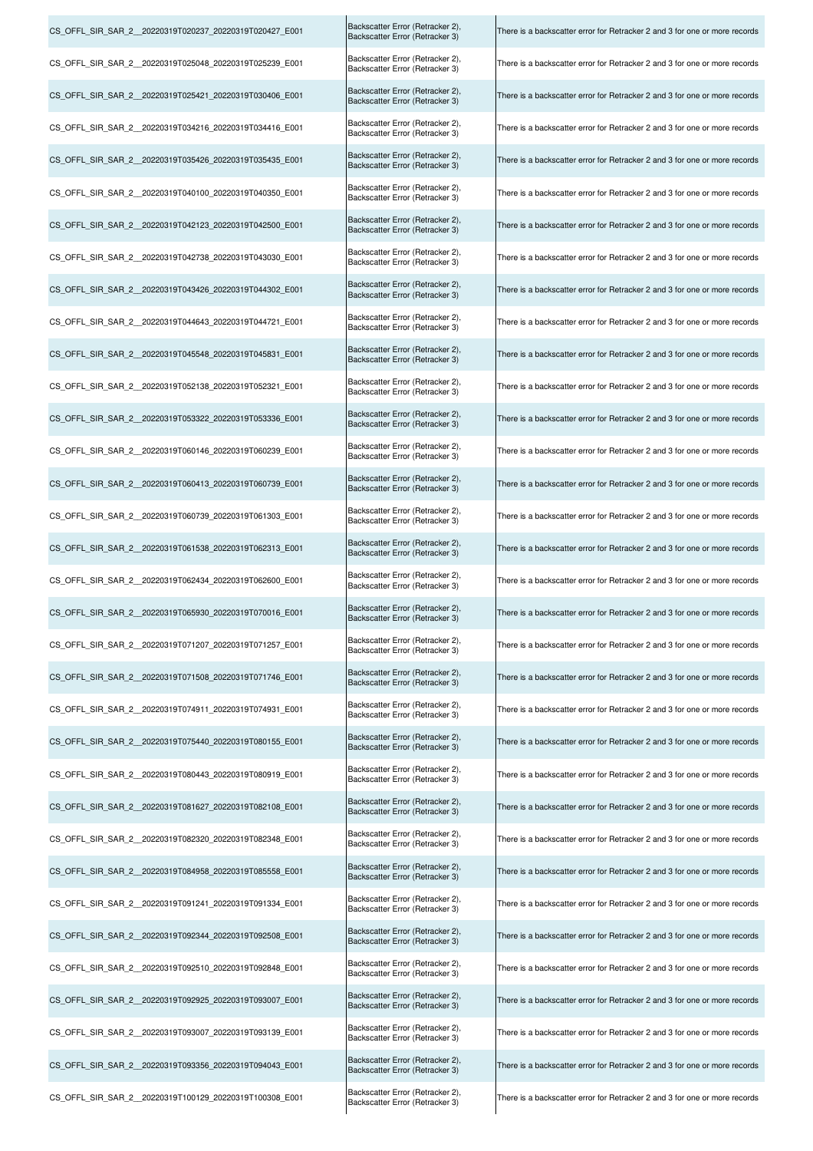| CS_OFFL_SIR_SAR_2_20220319T020237_20220319T020427_E001  | Backscatter Error (Retracker 2),<br>Backscatter Error (Retracker 3) | There is a backscatter error for Retracker 2 and 3 for one or more records |
|---------------------------------------------------------|---------------------------------------------------------------------|----------------------------------------------------------------------------|
| CS_OFFL_SIR_SAR_2_20220319T025048_20220319T025239_E001  | Backscatter Error (Retracker 2),<br>Backscatter Error (Retracker 3) | There is a backscatter error for Retracker 2 and 3 for one or more records |
| CS OFFL SIR SAR 2 20220319T025421 20220319T030406 E001  | Backscatter Error (Retracker 2),<br>Backscatter Error (Retracker 3) | There is a backscatter error for Retracker 2 and 3 for one or more records |
| CS OFFL SIR SAR 2 20220319T034216 20220319T034416 E001  | Backscatter Error (Retracker 2),<br>Backscatter Error (Retracker 3) | There is a backscatter error for Retracker 2 and 3 for one or more records |
| CS_OFFL_SIR_SAR_2_20220319T035426_20220319T035435_E001  | Backscatter Error (Retracker 2),<br>Backscatter Error (Retracker 3) | There is a backscatter error for Retracker 2 and 3 for one or more records |
| CS_OFFL_SIR_SAR_2__20220319T040100_20220319T040350_E001 | Backscatter Error (Retracker 2),<br>Backscatter Error (Retracker 3) | There is a backscatter error for Retracker 2 and 3 for one or more records |
| CS OFFL SIR SAR 2 20220319T042123 20220319T042500 E001  | Backscatter Error (Retracker 2),<br>Backscatter Error (Retracker 3) | There is a backscatter error for Retracker 2 and 3 for one or more records |
| CS OFFL SIR SAR 2 20220319T042738 20220319T043030 E001  | Backscatter Error (Retracker 2),<br>Backscatter Error (Retracker 3) | There is a backscatter error for Retracker 2 and 3 for one or more records |
| CS_OFFL_SIR_SAR_2_20220319T043426_20220319T044302_E001  | Backscatter Error (Retracker 2),<br>Backscatter Error (Retracker 3) | There is a backscatter error for Retracker 2 and 3 for one or more records |
| CS OFFL SIR SAR 2 20220319T044643 20220319T044721 E001  | Backscatter Error (Retracker 2),<br>Backscatter Error (Retracker 3) | There is a backscatter error for Retracker 2 and 3 for one or more records |
| CS OFFL SIR SAR 2 20220319T045548 20220319T045831 E001  | Backscatter Error (Retracker 2),<br>Backscatter Error (Retracker 3) | There is a backscatter error for Retracker 2 and 3 for one or more records |
| CS OFFL SIR SAR 2 20220319T052138 20220319T052321 E001  | Backscatter Error (Retracker 2),<br>Backscatter Error (Retracker 3) | There is a backscatter error for Retracker 2 and 3 for one or more records |
| CS_OFFL_SIR_SAR_2_20220319T053322_20220319T053336_E001  | Backscatter Error (Retracker 2),<br>Backscatter Error (Retracker 3) | There is a backscatter error for Retracker 2 and 3 for one or more records |
| CS_OFFL_SIR_SAR_2_20220319T060146_20220319T060239_E001  | Backscatter Error (Retracker 2),<br>Backscatter Error (Retracker 3) | There is a backscatter error for Retracker 2 and 3 for one or more records |
| CS_OFFL_SIR_SAR_2_20220319T060413_20220319T060739_E001  | Backscatter Error (Retracker 2),<br>Backscatter Error (Retracker 3) | There is a backscatter error for Retracker 2 and 3 for one or more records |
| CS_OFFL_SIR_SAR_2__20220319T060739_20220319T061303_E001 | Backscatter Error (Retracker 2),<br>Backscatter Error (Retracker 3) | There is a backscatter error for Retracker 2 and 3 for one or more records |
| CS OFFL SIR SAR 2 20220319T061538 20220319T062313 E001  | Backscatter Error (Retracker 2),<br>Backscatter Error (Retracker 3) | There is a backscatter error for Retracker 2 and 3 for one or more records |
| CS_OFFL_SIR_SAR_2_20220319T062434_20220319T062600_E001  | Backscatter Error (Retracker 2),<br>Backscatter Error (Retracker 3) | There is a backscatter error for Retracker 2 and 3 for one or more records |
| CS_OFFL_SIR_SAR_2_20220319T065930_20220319T070016_E001  | Backscatter Error (Retracker 2),<br>Backscatter Error (Retracker 3) | There is a backscatter error for Retracker 2 and 3 for one or more records |
| CS_OFFL_SIR_SAR_2_20220319T071207_20220319T071257_E001  | Backscatter Error (Retracker 2),<br>Backscatter Error (Retracker 3) | There is a backscatter error for Retracker 2 and 3 for one or more records |
| CS OFFL SIR SAR 2 20220319T071508 20220319T071746 E001  | Backscatter Error (Retracker 2),<br>Backscatter Error (Retracker 3) | There is a backscatter error for Retracker 2 and 3 for one or more records |
| CS OFFL SIR SAR 2 20220319T074911 20220319T074931 E001  | Backscatter Error (Retracker 2),<br>Backscatter Error (Retracker 3) | There is a backscatter error for Retracker 2 and 3 for one or more records |
| CS_OFFL_SIR_SAR_2_20220319T075440_20220319T080155_E001  | Backscatter Error (Retracker 2),<br>Backscatter Error (Retracker 3) | There is a backscatter error for Retracker 2 and 3 for one or more records |
| CS OFFL SIR SAR 2 20220319T080443 20220319T080919 E001  | Backscatter Error (Retracker 2),<br>Backscatter Error (Retracker 3) | There is a backscatter error for Retracker 2 and 3 for one or more records |
| CS OFFL SIR SAR 2 20220319T081627 20220319T082108 E001  | Backscatter Error (Retracker 2),<br>Backscatter Error (Retracker 3) | There is a backscatter error for Retracker 2 and 3 for one or more records |
| CS OFFL SIR SAR 2 20220319T082320 20220319T082348 E001  | Backscatter Error (Retracker 2),<br>Backscatter Error (Retracker 3) | There is a backscatter error for Retracker 2 and 3 for one or more records |
| CS_OFFL_SIR_SAR_2_20220319T084958_20220319T085558_E001  | Backscatter Error (Retracker 2),<br>Backscatter Error (Retracker 3) | There is a backscatter error for Retracker 2 and 3 for one or more records |
| CS OFFL SIR SAR 2 20220319T091241 20220319T091334 E001  | Backscatter Error (Retracker 2),<br>Backscatter Error (Retracker 3) | There is a backscatter error for Retracker 2 and 3 for one or more records |
| CS OFFL SIR SAR 2 20220319T092344 20220319T092508 E001  | Backscatter Error (Retracker 2),<br>Backscatter Error (Retracker 3) | There is a backscatter error for Retracker 2 and 3 for one or more records |
| CS OFFL SIR SAR 2 20220319T092510 20220319T092848 E001  | Backscatter Error (Retracker 2),<br>Backscatter Error (Retracker 3) | There is a backscatter error for Retracker 2 and 3 for one or more records |
| CS OFFL SIR SAR 2 20220319T092925 20220319T093007 E001  | Backscatter Error (Retracker 2),<br>Backscatter Error (Retracker 3) | There is a backscatter error for Retracker 2 and 3 for one or more records |
| CS_OFFL_SIR_SAR_2_20220319T093007_20220319T093139_E001  | Backscatter Error (Retracker 2),<br>Backscatter Error (Retracker 3) | There is a backscatter error for Retracker 2 and 3 for one or more records |
| CS OFFL SIR SAR 2 20220319T093356 20220319T094043 E001  | Backscatter Error (Retracker 2),<br>Backscatter Error (Retracker 3) | There is a backscatter error for Retracker 2 and 3 for one or more records |
| CS OFFL SIR SAR 2 20220319T100129 20220319T100308 E001  | Backscatter Error (Retracker 2),<br>Backscatter Error (Retracker 3) | There is a backscatter error for Retracker 2 and 3 for one or more records |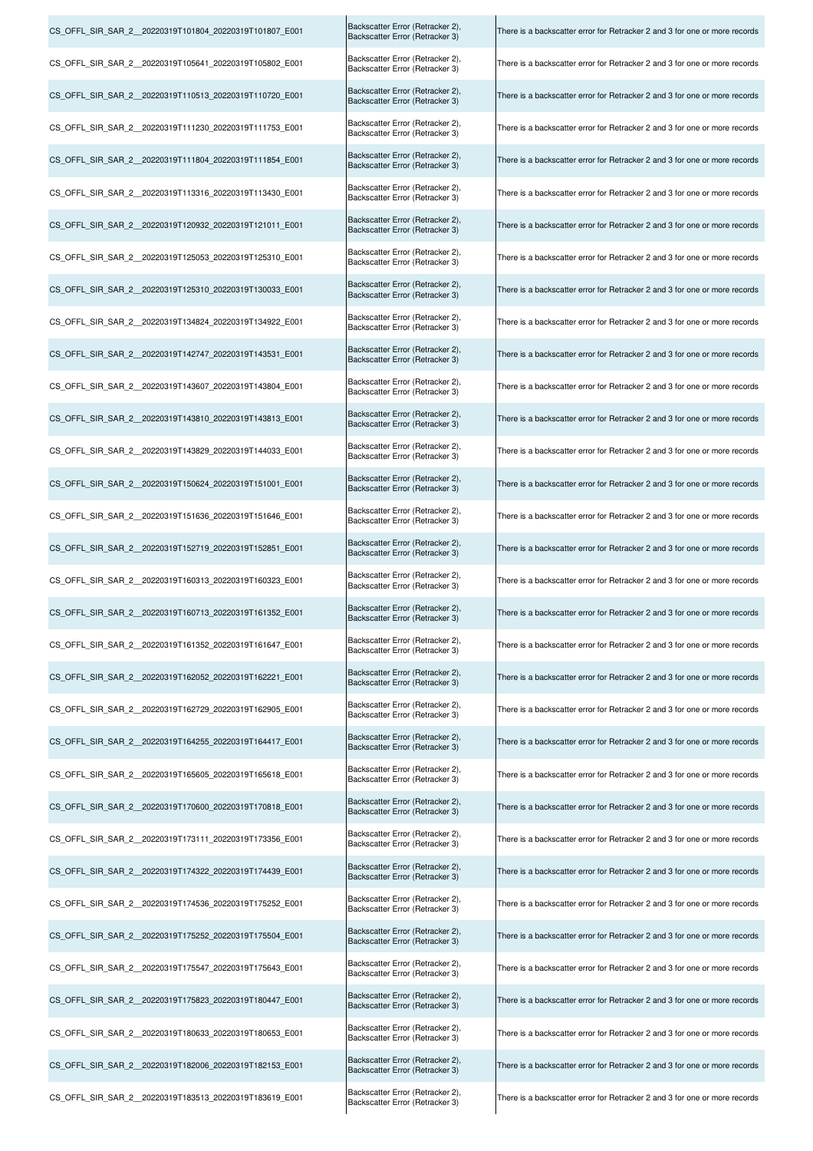| CS OFFL SIR SAR 2 20220319T101804 20220319T101807 E001 | Backscatter Error (Retracker 2),<br>Backscatter Error (Retracker 3) | There is a backscatter error for Retracker 2 and 3 for one or more records |
|--------------------------------------------------------|---------------------------------------------------------------------|----------------------------------------------------------------------------|
| CS OFFL SIR SAR 2 20220319T105641 20220319T105802 E001 | Backscatter Error (Retracker 2),<br>Backscatter Error (Retracker 3) | There is a backscatter error for Retracker 2 and 3 for one or more records |
| CS OFFL SIR SAR 2 20220319T110513 20220319T110720 E001 | Backscatter Error (Retracker 2),<br>Backscatter Error (Retracker 3) | There is a backscatter error for Retracker 2 and 3 for one or more records |
| CS OFFL SIR SAR 2 20220319T111230 20220319T111753 E001 | Backscatter Error (Retracker 2),<br>Backscatter Error (Retracker 3) | There is a backscatter error for Retracker 2 and 3 for one or more records |
| CS OFFL SIR SAR 2 20220319T111804 20220319T111854 E001 | Backscatter Error (Retracker 2),<br>Backscatter Error (Retracker 3) | There is a backscatter error for Retracker 2 and 3 for one or more records |
| CS OFFL SIR SAR 2 20220319T113316 20220319T113430 E001 | Backscatter Error (Retracker 2),<br>Backscatter Error (Retracker 3) | There is a backscatter error for Retracker 2 and 3 for one or more records |
| CS_OFFL_SIR_SAR_2_20220319T120932_20220319T121011_E001 | Backscatter Error (Retracker 2),<br>Backscatter Error (Retracker 3) | There is a backscatter error for Retracker 2 and 3 for one or more records |
| CS OFFL SIR SAR 2 20220319T125053 20220319T125310 E001 | Backscatter Error (Retracker 2),<br>Backscatter Error (Retracker 3) | There is a backscatter error for Retracker 2 and 3 for one or more records |
| CS OFFL SIR SAR 2 20220319T125310 20220319T130033 E001 | Backscatter Error (Retracker 2),<br>Backscatter Error (Retracker 3) | There is a backscatter error for Retracker 2 and 3 for one or more records |
| CS OFFL SIR SAR 2 20220319T134824 20220319T134922 E001 | Backscatter Error (Retracker 2),<br>Backscatter Error (Retracker 3) | There is a backscatter error for Retracker 2 and 3 for one or more records |
| CS_OFFL_SIR_SAR_2_20220319T142747_20220319T143531_E001 | Backscatter Error (Retracker 2),<br>Backscatter Error (Retracker 3) | There is a backscatter error for Retracker 2 and 3 for one or more records |
| CS OFFL SIR SAR 2 20220319T143607 20220319T143804 E001 | Backscatter Error (Retracker 2),<br>Backscatter Error (Retracker 3) | There is a backscatter error for Retracker 2 and 3 for one or more records |
| CS OFFL SIR SAR 2 20220319T143810 20220319T143813 E001 | Backscatter Error (Retracker 2),<br>Backscatter Error (Retracker 3) | There is a backscatter error for Retracker 2 and 3 for one or more records |
| CS OFFL SIR SAR 2 20220319T143829 20220319T144033 E001 | Backscatter Error (Retracker 2),<br>Backscatter Error (Retracker 3) | There is a backscatter error for Retracker 2 and 3 for one or more records |
| CS_OFFL_SIR_SAR_2_20220319T150624_20220319T151001_E001 | Backscatter Error (Retracker 2),<br>Backscatter Error (Retracker 3) | There is a backscatter error for Retracker 2 and 3 for one or more records |
| CS OFFL SIR SAR 2 20220319T151636 20220319T151646 E001 | Backscatter Error (Retracker 2),<br>Backscatter Error (Retracker 3) | There is a backscatter error for Retracker 2 and 3 for one or more records |
| CS OFFL SIR SAR 2 20220319T152719 20220319T152851 E001 | Backscatter Error (Retracker 2),<br>Backscatter Error (Retracker 3) | There is a backscatter error for Retracker 2 and 3 for one or more records |
| CS OFFL SIR SAR 2 20220319T160313 20220319T160323 E001 | Backscatter Error (Retracker 2),<br>Backscatter Error (Retracker 3) | There is a backscatter error for Retracker 2 and 3 for one or more records |
| CS OFFL SIR SAR 2 20220319T160713 20220319T161352 E001 | Backscatter Error (Retracker 2),<br>Backscatter Error (Retracker 3) | There is a backscatter error for Retracker 2 and 3 for one or more records |
| CS OFFL SIR SAR 2 20220319T161352 20220319T161647 E001 | Backscatter Error (Retracker 2),<br>Backscatter Error (Retracker 3) | There is a backscatter error for Retracker 2 and 3 for one or more records |
| CS_OFFL_SIR_SAR_2_20220319T162052_20220319T162221_E001 | Backscatter Error (Retracker 2),<br>Backscatter Error (Retracker 3) | There is a backscatter error for Retracker 2 and 3 for one or more records |
| CS OFFL SIR SAR 2 20220319T162729 20220319T162905 E001 | Backscatter Error (Retracker 2),<br>Backscatter Error (Retracker 3) | There is a backscatter error for Retracker 2 and 3 for one or more records |
| CS OFFL SIR SAR 2 20220319T164255 20220319T164417 E001 | Backscatter Error (Retracker 2),<br>Backscatter Error (Retracker 3) | There is a backscatter error for Retracker 2 and 3 for one or more records |
| CS OFFL SIR SAR 2 20220319T165605 20220319T165618 E001 | Backscatter Error (Retracker 2),<br>Backscatter Error (Retracker 3) | There is a backscatter error for Retracker 2 and 3 for one or more records |
| CS OFFL SIR SAR 2 20220319T170600 20220319T170818 E001 | Backscatter Error (Retracker 2),<br>Backscatter Error (Retracker 3) | There is a backscatter error for Retracker 2 and 3 for one or more records |
| CS OFFL SIR SAR 2 20220319T173111 20220319T173356 E001 | Backscatter Error (Retracker 2),<br>Backscatter Error (Retracker 3) | There is a backscatter error for Retracker 2 and 3 for one or more records |
| CS OFFL SIR SAR 2 20220319T174322 20220319T174439 E001 | Backscatter Error (Retracker 2),<br>Backscatter Error (Retracker 3) | There is a backscatter error for Retracker 2 and 3 for one or more records |
| CS_OFFL_SIR_SAR_2_20220319T174536_20220319T175252_E001 | Backscatter Error (Retracker 2),<br>Backscatter Error (Retracker 3) | There is a backscatter error for Retracker 2 and 3 for one or more records |
| CS OFFL SIR SAR 2 20220319T175252 20220319T175504 E001 | Backscatter Error (Retracker 2),<br>Backscatter Error (Retracker 3) | There is a backscatter error for Retracker 2 and 3 for one or more records |
| CS OFFL SIR SAR 2 20220319T175547 20220319T175643 E001 | Backscatter Error (Retracker 2),<br>Backscatter Error (Retracker 3) | There is a backscatter error for Retracker 2 and 3 for one or more records |
| CS_OFFL_SIR_SAR_2_20220319T175823_20220319T180447_E001 | Backscatter Error (Retracker 2),<br>Backscatter Error (Retracker 3) | There is a backscatter error for Retracker 2 and 3 for one or more records |
| CS OFFL SIR SAR 2 20220319T180633 20220319T180653 E001 | Backscatter Error (Retracker 2),<br>Backscatter Error (Retracker 3) | There is a backscatter error for Retracker 2 and 3 for one or more records |
| CS OFFL SIR SAR 2 20220319T182006 20220319T182153 E001 | Backscatter Error (Retracker 2),<br>Backscatter Error (Retracker 3) | There is a backscatter error for Retracker 2 and 3 for one or more records |
| CS OFFL SIR SAR 2 20220319T183513 20220319T183619 E001 | Backscatter Error (Retracker 2),<br>Backscatter Error (Retracker 3) | There is a backscatter error for Retracker 2 and 3 for one or more records |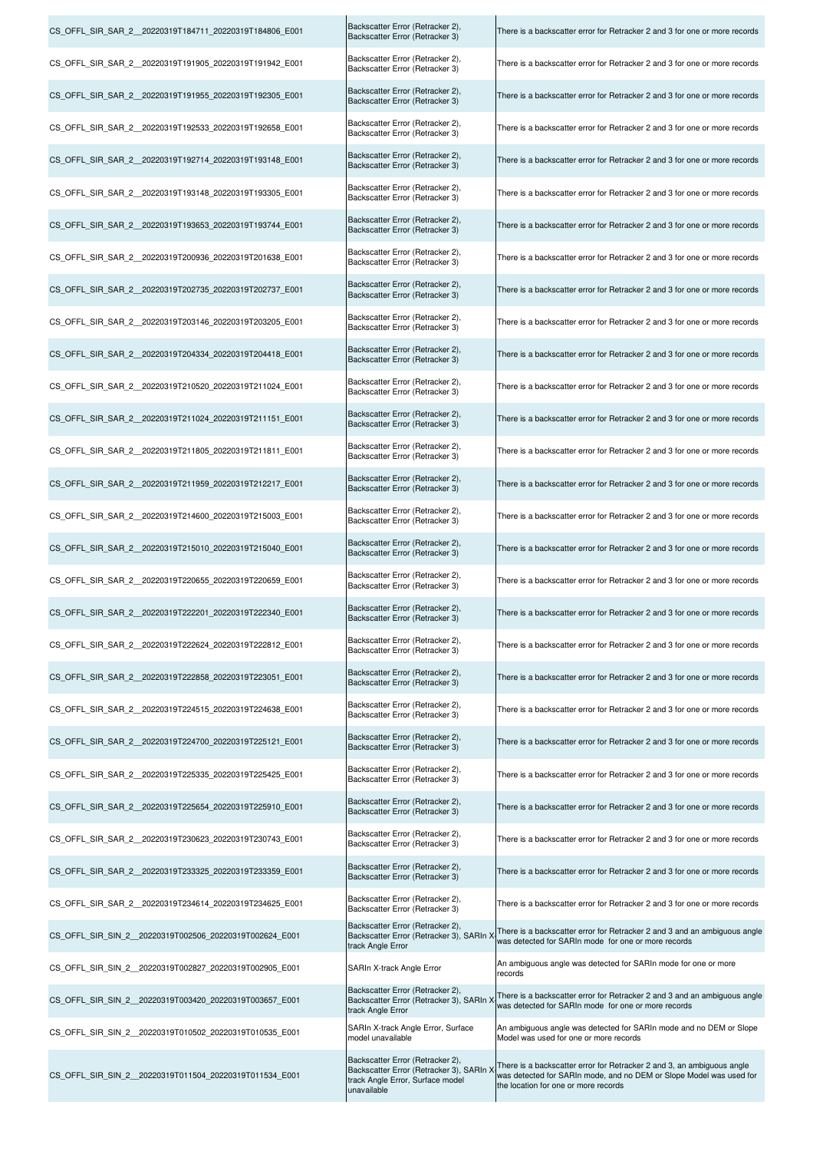| CS_OFFL_SIR_SAR_2_20220319T184711_20220319T184806_E001 | Backscatter Error (Retracker 2),<br>Backscatter Error (Retracker 3)                                                             | There is a backscatter error for Retracker 2 and 3 for one or more records                                                                                                            |
|--------------------------------------------------------|---------------------------------------------------------------------------------------------------------------------------------|---------------------------------------------------------------------------------------------------------------------------------------------------------------------------------------|
| CS OFFL SIR SAR 2 20220319T191905 20220319T191942 E001 | Backscatter Error (Retracker 2),<br>Backscatter Error (Retracker 3)                                                             | There is a backscatter error for Retracker 2 and 3 for one or more records                                                                                                            |
| CS_OFFL_SIR_SAR_2_20220319T191955_20220319T192305_E001 | Backscatter Error (Retracker 2),<br>Backscatter Error (Retracker 3)                                                             | There is a backscatter error for Retracker 2 and 3 for one or more records                                                                                                            |
| CS_OFFL_SIR_SAR_2_20220319T192533_20220319T192658_E001 | Backscatter Error (Retracker 2),<br>Backscatter Error (Retracker 3)                                                             | There is a backscatter error for Retracker 2 and 3 for one or more records                                                                                                            |
| CS_OFFL_SIR_SAR_2_20220319T192714_20220319T193148_E001 | Backscatter Error (Retracker 2),<br>Backscatter Error (Retracker 3)                                                             | There is a backscatter error for Retracker 2 and 3 for one or more records                                                                                                            |
| CS OFFL SIR SAR 2 20220319T193148 20220319T193305 E001 | Backscatter Error (Retracker 2),<br>Backscatter Error (Retracker 3)                                                             | There is a backscatter error for Retracker 2 and 3 for one or more records                                                                                                            |
| CS_OFFL_SIR_SAR_2_20220319T193653_20220319T193744_E001 | Backscatter Error (Retracker 2),<br>Backscatter Error (Retracker 3)                                                             | There is a backscatter error for Retracker 2 and 3 for one or more records                                                                                                            |
| CS OFFL SIR SAR 2 20220319T200936 20220319T201638 E001 | Backscatter Error (Retracker 2),<br>Backscatter Error (Retracker 3)                                                             | There is a backscatter error for Retracker 2 and 3 for one or more records                                                                                                            |
| CS OFFL SIR SAR 2 20220319T202735 20220319T202737 E001 | Backscatter Error (Retracker 2),<br>Backscatter Error (Retracker 3)                                                             | There is a backscatter error for Retracker 2 and 3 for one or more records                                                                                                            |
| CS OFFL SIR SAR 2 20220319T203146 20220319T203205 E001 | Backscatter Error (Retracker 2),<br>Backscatter Error (Retracker 3)                                                             | There is a backscatter error for Retracker 2 and 3 for one or more records                                                                                                            |
| CS_OFFL_SIR_SAR_2_20220319T204334_20220319T204418_E001 | Backscatter Error (Retracker 2),<br>Backscatter Error (Retracker 3)                                                             | There is a backscatter error for Retracker 2 and 3 for one or more records                                                                                                            |
| CS_OFFL_SIR_SAR_2_20220319T210520_20220319T211024_E001 | Backscatter Error (Retracker 2),<br>Backscatter Error (Retracker 3)                                                             | There is a backscatter error for Retracker 2 and 3 for one or more records                                                                                                            |
| CS_OFFL_SIR_SAR_2_20220319T211024_20220319T211151_E001 | Backscatter Error (Retracker 2),<br>Backscatter Error (Retracker 3)                                                             | There is a backscatter error for Retracker 2 and 3 for one or more records                                                                                                            |
| CS_OFFL_SIR_SAR_2_20220319T211805_20220319T211811_E001 | Backscatter Error (Retracker 2),<br>Backscatter Error (Retracker 3)                                                             | There is a backscatter error for Retracker 2 and 3 for one or more records                                                                                                            |
| CS_OFFL_SIR_SAR_2_20220319T211959_20220319T212217_E001 | Backscatter Error (Retracker 2),<br>Backscatter Error (Retracker 3)                                                             | There is a backscatter error for Retracker 2 and 3 for one or more records                                                                                                            |
| CS_OFFL_SIR_SAR_2_20220319T214600_20220319T215003_E001 | Backscatter Error (Retracker 2),<br>Backscatter Error (Retracker 3)                                                             | There is a backscatter error for Retracker 2 and 3 for one or more records                                                                                                            |
| CS_OFFL_SIR_SAR_2_20220319T215010_20220319T215040_E001 | Backscatter Error (Retracker 2),<br>Backscatter Error (Retracker 3)                                                             | There is a backscatter error for Retracker 2 and 3 for one or more records                                                                                                            |
| CS OFFL SIR SAR 2 20220319T220655 20220319T220659 E001 | Backscatter Error (Retracker 2),<br>Backscatter Error (Retracker 3)                                                             | There is a backscatter error for Retracker 2 and 3 for one or more records                                                                                                            |
| CS OFFL SIR SAR 2 20220319T222201 20220319T222340 E001 | Backscatter Error (Retracker 2),<br>Backscatter Error (Retracker 3)                                                             | There is a backscatter error for Retracker 2 and 3 for one or more records                                                                                                            |
| CS OFFL SIR SAR 2 20220319T222624 20220319T222812 E001 | Backscatter Error (Retracker 2),<br>Backscatter Error (Retracker 3)                                                             | There is a backscatter error for Retracker 2 and 3 for one or more records                                                                                                            |
| CS OFFL SIR SAR 2 20220319T222858 20220319T223051 E001 | Backscatter Error (Retracker 2),<br>Backscatter Error (Retracker 3)                                                             | There is a backscatter error for Retracker 2 and 3 for one or more records                                                                                                            |
| CS OFFL SIR SAR 2 20220319T224515 20220319T224638 E001 | Backscatter Error (Retracker 2),<br>Backscatter Error (Retracker 3)                                                             | There is a backscatter error for Retracker 2 and 3 for one or more records                                                                                                            |
| CS OFFL SIR SAR 2 20220319T224700 20220319T225121 E001 | Backscatter Error (Retracker 2),<br>Backscatter Error (Retracker 3)                                                             | There is a backscatter error for Retracker 2 and 3 for one or more records                                                                                                            |
| CS OFFL SIR SAR 2 20220319T225335 20220319T225425 E001 | Backscatter Error (Retracker 2),<br>Backscatter Error (Retracker 3)                                                             | There is a backscatter error for Retracker 2 and 3 for one or more records                                                                                                            |
| CS OFFL SIR SAR 2 20220319T225654 20220319T225910 E001 | Backscatter Error (Retracker 2),<br>Backscatter Error (Retracker 3)                                                             | There is a backscatter error for Retracker 2 and 3 for one or more records                                                                                                            |
| CS OFFL SIR SAR 2 20220319T230623 20220319T230743 E001 | Backscatter Error (Retracker 2),<br>Backscatter Error (Retracker 3)                                                             | There is a backscatter error for Retracker 2 and 3 for one or more records                                                                                                            |
| CS OFFL SIR SAR 2 20220319T233325 20220319T233359 E001 | Backscatter Error (Retracker 2),<br>Backscatter Error (Retracker 3)                                                             | There is a backscatter error for Retracker 2 and 3 for one or more records                                                                                                            |
| CS OFFL SIR SAR 2 20220319T234614 20220319T234625 E001 | Backscatter Error (Retracker 2),<br>Backscatter Error (Retracker 3)                                                             | There is a backscatter error for Retracker 2 and 3 for one or more records                                                                                                            |
| CS_OFFL_SIR_SIN_2_20220319T002506_20220319T002624_E001 | Backscatter Error (Retracker 2),<br>Backscatter Error (Retracker 3), SARIn ><br>track Angle Error                               | There is a backscatter error for Retracker 2 and 3 and an ambiguous angle<br>was detected for SARIn mode for one or more records                                                      |
| CS OFFL SIR SIN 2 20220319T002827 20220319T002905 E001 | SARIn X-track Angle Error                                                                                                       | An ambiguous angle was detected for SARIn mode for one or more<br>records                                                                                                             |
| CS OFFL SIR SIN 2 20220319T003420 20220319T003657 E001 | Backscatter Error (Retracker 2),<br>Backscatter Error (Retracker 3), SARIn ><br>track Angle Error                               | There is a backscatter error for Retracker 2 and 3 and an ambiguous angle<br>was detected for SARIn mode for one or more records                                                      |
| CS OFFL SIR SIN 2 20220319T010502 20220319T010535 E001 | SARIn X-track Angle Error, Surface<br>model unavailable                                                                         | An ambiguous angle was detected for SARIn mode and no DEM or Slope<br>Model was used for one or more records                                                                          |
| CS_OFFL_SIR_SIN_2_20220319T011504_20220319T011534_E001 | Backscatter Error (Retracker 2),<br>Backscatter Error (Retracker 3), SARIn ><br>track Angle Error, Surface model<br>unavailable | There is a backscatter error for Retracker 2 and 3, an ambiguous angle<br>was detected for SARIn mode, and no DEM or Slope Model was used for<br>the location for one or more records |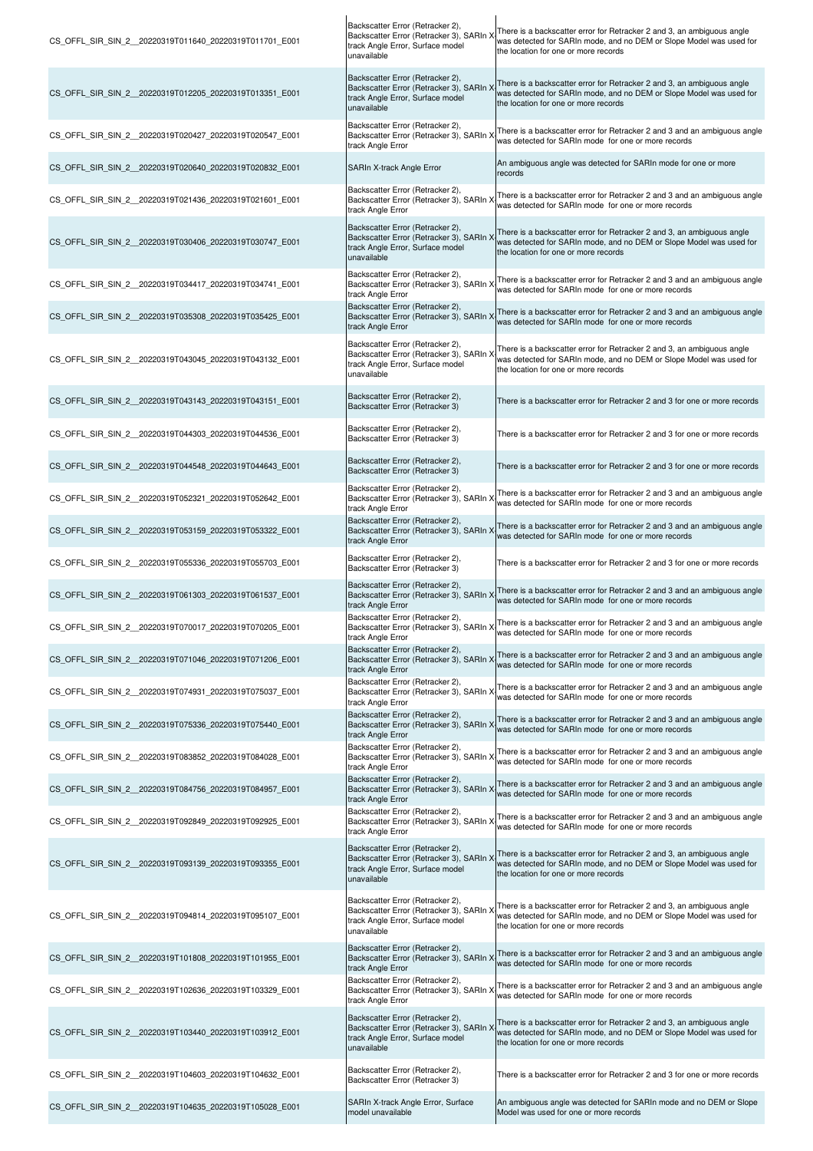| CS_OFFL_SIR_SIN_2_20220319T011640_20220319T011701_E001  | Backscatter Error (Retracker 2),<br>Backscatter Error (Retracker 3), SARIn )<br>track Angle Error, Surface model<br>unavailable | There is a backscatter error for Retracker 2 and 3, an ambiguous angle<br>was detected for SARIn mode, and no DEM or Slope Model was used for<br>the location for one or more records |
|---------------------------------------------------------|---------------------------------------------------------------------------------------------------------------------------------|---------------------------------------------------------------------------------------------------------------------------------------------------------------------------------------|
| CS OFFL SIR SIN 2 20220319T012205 20220319T013351 E001  | Backscatter Error (Retracker 2),<br>Backscatter Error (Retracker 3), SARIn ><br>track Angle Error, Surface model<br>unavailable | There is a backscatter error for Retracker 2 and 3, an ambiguous angle<br>was detected for SARIn mode, and no DEM or Slope Model was used for<br>the location for one or more records |
| CS_OFFL_SIR_SIN_2_20220319T020427_20220319T020547_E001  | Backscatter Error (Retracker 2),<br>Backscatter Error (Retracker 3), SARIn )<br>track Angle Error                               | There is a backscatter error for Retracker 2 and 3 and an ambiguous angle<br>was detected for SARIn mode for one or more records                                                      |
| CS OFFL SIR SIN 2 20220319T020640 20220319T020832 E001  | SARIn X-track Angle Error                                                                                                       | An ambiguous angle was detected for SARIn mode for one or more<br>records                                                                                                             |
| CS OFFL SIR SIN 2 20220319T021436 20220319T021601 E001  | Backscatter Error (Retracker 2),<br>Backscatter Error (Retracker 3), SARIn )<br>track Angle Error                               | There is a backscatter error for Retracker 2 and 3 and an ambiguous angle<br>was detected for SARIn mode for one or more records                                                      |
| CS_OFFL_SIR_SIN_2_20220319T030406_20220319T030747_E001  | Backscatter Error (Retracker 2),<br>Backscatter Error (Retracker 3), SARIn X<br>track Angle Error, Surface model<br>unavailable | There is a backscatter error for Retracker 2 and 3, an ambiguous angle<br>was detected for SARIn mode, and no DEM or Slope Model was used for<br>the location for one or more records |
| CS OFFL SIR SIN 2 20220319T034417 20220319T034741 E001  | Backscatter Error (Retracker 2),<br>Backscatter Error (Retracker 3), SARIn ><br>track Angle Error                               | There is a backscatter error for Retracker 2 and 3 and an ambiguous angle<br>was detected for SARIn mode for one or more records                                                      |
| CS OFFL SIR SIN 2 20220319T035308 20220319T035425 E001  | Backscatter Error (Retracker 2),<br>Backscatter Error (Retracker 3), SARIn ><br>track Angle Error                               | There is a backscatter error for Retracker 2 and 3 and an ambiguous angle<br>was detected for SARIn mode for one or more records                                                      |
| CS OFFL SIR SIN 2 20220319T043045 20220319T043132 E001  | Backscatter Error (Retracker 2),<br>Backscatter Error (Retracker 3), SARIn ><br>track Angle Error, Surface model<br>unavailable | There is a backscatter error for Retracker 2 and 3, an ambiguous angle<br>was detected for SARIn mode, and no DEM or Slope Model was used for<br>the location for one or more records |
| CS OFFL SIR SIN 2 20220319T043143 20220319T043151 E001  | Backscatter Error (Retracker 2),<br>Backscatter Error (Retracker 3)                                                             | There is a backscatter error for Retracker 2 and 3 for one or more records                                                                                                            |
| CS OFFL SIR SIN 2 20220319T044303 20220319T044536 E001  | Backscatter Error (Retracker 2),<br>Backscatter Error (Retracker 3)                                                             | There is a backscatter error for Retracker 2 and 3 for one or more records                                                                                                            |
| CS OFFL SIR SIN 2 20220319T044548 20220319T044643 E001  | Backscatter Error (Retracker 2),<br>Backscatter Error (Retracker 3)                                                             | There is a backscatter error for Retracker 2 and 3 for one or more records                                                                                                            |
| CS_OFFL_SIR_SIN_2_20220319T052321_20220319T052642_E001  | Backscatter Error (Retracker 2),<br>Backscatter Error (Retracker 3), SARIn ><br>track Angle Error                               | There is a backscatter error for Retracker 2 and 3 and an ambiguous angle<br>was detected for SARIn mode for one or more records                                                      |
| CS OFFL SIR SIN 2 20220319T053159 20220319T053322 E001  | Backscatter Error (Retracker 2),<br>Backscatter Error (Retracker 3), SARIn ><br>track Angle Error                               | There is a backscatter error for Retracker 2 and 3 and an ambiguous angle<br>was detected for SARIn mode for one or more records                                                      |
| CS OFFL SIR SIN 2 20220319T055336 20220319T055703 E001  | Backscatter Error (Retracker 2),<br>Backscatter Error (Retracker 3)                                                             | There is a backscatter error for Retracker 2 and 3 for one or more records                                                                                                            |
| CS OFFL SIR SIN 2 20220319T061303 20220319T061537 E001  | Backscatter Error (Retracker 2),<br>Backscatter Error (Retracker 3), SARIn<br>track Angle Error                                 | There is a backscatter error for Retracker 2 and 3 and an ambiguous angle<br>was detected for SARIn mode for one or more records                                                      |
| CS_OFFL_SIR_SIN_2_20220319T070017_20220319T070205_E001  | Backscatter Error (Retracker 2),<br>Backscatter Error (Retracker 3), SARIn X<br>track Angle Error                               | There is a backscatter error for Retracker 2 and 3 and an ambiguous angle<br>was detected for SARIn mode for one or more records                                                      |
| CS OFFL SIR SIN 2 20220319T071046 20220319T071206 E001  | Backscatter Error (Retracker 2),<br>Backscatter Error (Retracker 3), SARIn ><br>track Angle Error                               | There is a backscatter error for Retracker 2 and 3 and an ambiguous angle<br>was detected for SARIn mode for one or more records                                                      |
| CS OFFL SIR SIN 2 20220319T074931 20220319T075037 E001  | Backscatter Error (Retracker 2),<br>Backscatter Error (Retracker 3), SARIn )<br>track Angle Error                               | There is a backscatter error for Retracker 2 and 3 and an ambiguous angle<br>was detected for SARIn mode for one or more records                                                      |
| CS OFFL SIR SIN 2 20220319T075336 20220319T075440 E001  | Backscatter Error (Retracker 2),<br>Backscatter Error (Retracker 3), SARIn )<br>track Angle Error                               | There is a backscatter error for Retracker 2 and 3 and an ambiguous angle<br>was detected for SARIn mode for one or more records                                                      |
| CS OFFL SIR SIN 2 20220319T083852 20220319T084028 E001  | Backscatter Error (Retracker 2),<br>Backscatter Error (Retracker 3), SARIn ><br>track Angle Error                               | There is a backscatter error for Retracker 2 and 3 and an ambiguous angle<br>was detected for SARIn mode for one or more records                                                      |
| CS_OFFL_SIR_SIN_2_20220319T084756_20220319T084957_E001  | Backscatter Error (Retracker 2),<br>Backscatter Error (Retracker 3), SARIn X<br>track Angle Error                               | There is a backscatter error for Retracker 2 and 3 and an ambiguous angle<br>was detected for SARIn mode for one or more records                                                      |
| CS OFFL SIR SIN 2 20220319T092849 20220319T092925 E001  | Backscatter Error (Retracker 2),<br>Backscatter Error (Retracker 3), SARIn ><br>track Angle Error                               | There is a backscatter error for Retracker 2 and 3 and an ambiguous angle<br>was detected for SARIn mode for one or more records                                                      |
| CS_OFFL_SIR_SIN_2_20220319T093139_20220319T093355_E001  | Backscatter Error (Retracker 2),<br>Backscatter Error (Retracker 3), SARIn ><br>track Angle Error, Surface model<br>unavailable | There is a backscatter error for Retracker 2 and 3, an ambiguous angle<br>was detected for SARIn mode, and no DEM or Slope Model was used for<br>the location for one or more records |
| CS OFFL SIR SIN_2 _20220319T094814_20220319T095107_E001 | Backscatter Error (Retracker 2),<br>Backscatter Error (Retracker 3), SARIn X<br>track Angle Error, Surface model<br>unavailable | There is a backscatter error for Retracker 2 and 3, an ambiguous angle<br>was detected for SARIn mode, and no DEM or Slope Model was used for<br>the location for one or more records |
| CS OFFL SIR SIN 2 20220319T101808 20220319T101955 E001  | Backscatter Error (Retracker 2),<br>Backscatter Error (Retracker 3), SARIn X<br>track Angle Error                               | There is a backscatter error for Retracker 2 and 3 and an ambiguous angle<br>was detected for SARIn mode for one or more records                                                      |
| CS_OFFL_SIR_SIN_2_20220319T102636_20220319T103329_E001  | Backscatter Error (Retracker 2),<br>Backscatter Error (Retracker 3), SARIn X<br>track Angle Error                               | There is a backscatter error for Retracker 2 and 3 and an ambiguous angle<br>was detected for SARIn mode for one or more records                                                      |
| CS OFFL SIR SIN 2 20220319T103440 20220319T103912 E001  | Backscatter Error (Retracker 2),<br>Backscatter Error (Retracker 3), SARIn ><br>track Angle Error, Surface model<br>unavailable | There is a backscatter error for Retracker 2 and 3, an ambiguous angle<br>was detected for SARIn mode, and no DEM or Slope Model was used for<br>the location for one or more records |
| CS OFFL SIR SIN 2 20220319T104603 20220319T104632 E001  | Backscatter Error (Retracker 2),<br>Backscatter Error (Retracker 3)                                                             | There is a backscatter error for Retracker 2 and 3 for one or more records                                                                                                            |
| CS_OFFL_SIR_SIN_2_20220319T104635_20220319T105028_E001  | SARIn X-track Angle Error, Surface<br>model unavailable                                                                         | An ambiguous angle was detected for SARIn mode and no DEM or Slope<br>Model was used for one or more records                                                                          |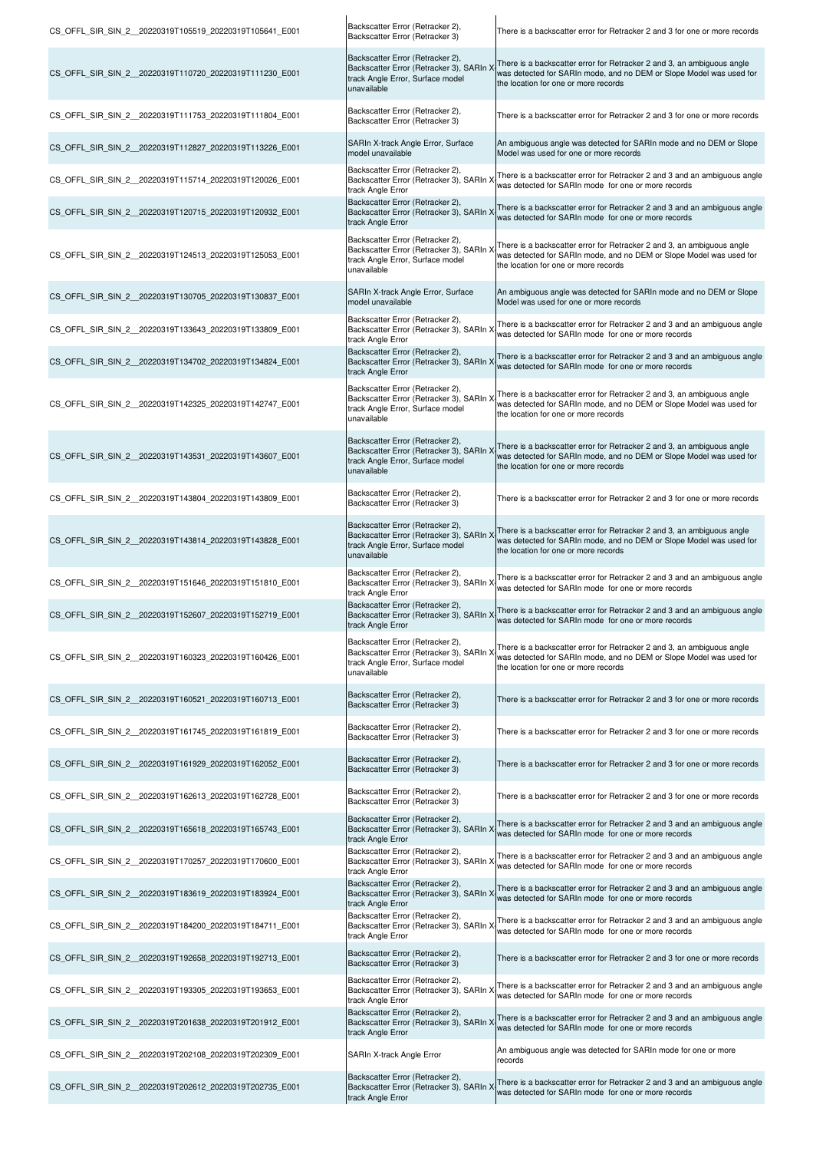| CS_OFFL_SIR_SIN_2_20220319T105519_20220319T105641_E001  | Backscatter Error (Retracker 2),<br>Backscatter Error (Retracker 3)                                                                   | There is a backscatter error for Retracker 2 and 3 for one or more records                                                                                                            |
|---------------------------------------------------------|---------------------------------------------------------------------------------------------------------------------------------------|---------------------------------------------------------------------------------------------------------------------------------------------------------------------------------------|
| CS_OFFL_SIR_SIN_2_20220319T110720_20220319T111230_E001  | Backscatter Error (Retracker 2),<br>Backscatter Error (Retracker 3), SARIn<br>track Angle Error, Surface model<br>unavailable         | There is a backscatter error for Retracker 2 and 3, an ambiguous angle<br>was detected for SARIn mode, and no DEM or Slope Model was used for<br>the location for one or more records |
| CS_OFFL_SIR_SIN_2_20220319T111753_20220319T111804_E001  | Backscatter Error (Retracker 2),<br>Backscatter Error (Retracker 3)                                                                   | There is a backscatter error for Retracker 2 and 3 for one or more records                                                                                                            |
| CS_OFFL_SIR_SIN_2_20220319T112827_20220319T113226_E001  | SARIn X-track Angle Error, Surface<br>model unavailable                                                                               | An ambiguous angle was detected for SARIn mode and no DEM or Slope<br>Model was used for one or more records                                                                          |
| CS OFFL SIR SIN 2 20220319T115714 20220319T120026 E001  | Backscatter Error (Retracker 2),<br>Backscatter Error (Retracker 3), SARIn X<br>track Angle Error                                     | There is a backscatter error for Retracker 2 and 3 and an ambiguous angle<br>was detected for SARIn mode for one or more records                                                      |
| CS_OFFL_SIR_SIN_2_20220319T120715_20220319T120932_E001  | Backscatter Error (Retracker 2),<br>Backscatter Error (Retracker 3), SARIn ><br>track Angle Error                                     | There is a backscatter error for Retracker 2 and 3 and an ambiguous angle<br>was detected for SARIn mode for one or more records                                                      |
| CS_OFFL_SIR_SIN_2_20220319T124513_20220319T125053_E001  | Backscatter Error (Retracker 2),<br>Backscatter Error (Retracker 3), SARIn<br>track Angle Error, Surface model<br>unavailable         | There is a backscatter error for Retracker 2 and 3, an ambiguous angle<br>was detected for SARIn mode, and no DEM or Slope Model was used for<br>the location for one or more records |
| CS_OFFL_SIR_SIN_2_20220319T130705_20220319T130837_E001  | SARIn X-track Angle Error, Surface<br>model unavailable                                                                               | An ambiguous angle was detected for SARIn mode and no DEM or Slope<br>Model was used for one or more records                                                                          |
| CS_OFFL_SIR_SIN_2__20220319T133643_20220319T133809_E001 | Backscatter Error (Retracker 2),<br>Backscatter Error (Retracker 3), SARIn ><br>track Angle Error                                     | There is a backscatter error for Retracker 2 and 3 and an ambiguous angle<br>was detected for SARIn mode for one or more records                                                      |
| CS OFFL SIR SIN 2 20220319T134702 20220319T134824 E001  | Backscatter Error (Retracker 2),<br>Backscatter Error (Retracker 3), SARIn ><br>track Angle Error                                     | There is a backscatter error for Retracker 2 and 3 and an ambiguous angle<br>was detected for SARIn mode for one or more records                                                      |
| CS_OFFL_SIR_SIN_2_20220319T142325_20220319T142747_E001  | Backscatter Error (Retracker 2),<br>Backscatter Error (Retracker 3), SARIn<br>track Angle Error, Surface model<br>unavailable         | There is a backscatter error for Retracker 2 and 3, an ambiguous angle<br>was detected for SARIn mode, and no DEM or Slope Model was used for<br>the location for one or more records |
| CS OFFL SIR SIN 2 20220319T143531 20220319T143607 E001  | Backscatter Error (Retracker 2),<br>Backscatter Error (Retracker 3), SARIn ><br>track Angle Error, Surface model<br>unavailable       | There is a backscatter error for Retracker 2 and 3, an ambiguous angle<br>was detected for SARIn mode, and no DEM or Slope Model was used for<br>the location for one or more records |
| CS_OFFL_SIR_SIN_2_20220319T143804_20220319T143809_E001  | Backscatter Error (Retracker 2),<br>Backscatter Error (Retracker 3)                                                                   | There is a backscatter error for Retracker 2 and 3 for one or more records                                                                                                            |
| CS_OFFL_SIR_SIN_2_20220319T143814_20220319T143828_E001  | Backscatter Error (Retracker 2),<br>Backscatter Error (Retracker 3), SARIn )<br>track Angle Error, Surface model<br>unavailable       | There is a backscatter error for Retracker 2 and 3, an ambiguous angle<br>was detected for SARIn mode, and no DEM or Slope Model was used for<br>the location for one or more records |
| CS_OFFL_SIR_SIN_2__20220319T151646_20220319T151810_E001 | Backscatter Error (Retracker 2),<br>Backscatter Error (Retracker 3), SARIn ><br>track Angle Error                                     | There is a backscatter error for Retracker 2 and 3 and an ambiguous angle<br>was detected for SARIn mode for one or more records                                                      |
| CS_OFFL_SIR_SIN_2_20220319T152607_20220319T152719_E001  | Backscatter Error (Retracker 2),<br>Backscatter Error (Retracker 3), SARIn X-<br>track Angle Error                                    | There is a backscatter error for Retracker 2 and 3 and an ambiguous angle<br>was detected for SARIn mode for one or more records                                                      |
| CS OFFL SIR SIN 2 20220319T160323 20220319T160426 E001  | Backscatter Error (Retracker 2),<br>Backscatter Error (Retracker 3), SARIn<br>track Angle Error, Surface model<br>unavailable         | There is a backscatter error for Retracker 2 and 3, an ambiguous angle<br>was detected for SARIn mode, and no DEM or Slope Model was used for<br>the location for one or more records |
| CS OFFL SIR SIN_2 _20220319T160521_20220319T160713_E001 | Backscatter Error (Retracker 2),<br>Backscatter Error (Retracker 3)                                                                   | There is a backscatter error for Retracker 2 and 3 for one or more records                                                                                                            |
| CS_OFFL_SIR_SIN_2__20220319T161745_20220319T161819_E001 | Backscatter Error (Retracker 2),<br>Backscatter Error (Retracker 3)                                                                   | There is a backscatter error for Retracker 2 and 3 for one or more records                                                                                                            |
| CS_OFFL_SIR_SIN_2__20220319T161929_20220319T162052_E001 | Backscatter Error (Retracker 2),<br>Backscatter Error (Retracker 3)                                                                   | There is a backscatter error for Retracker 2 and 3 for one or more records                                                                                                            |
| CS OFFL SIR SIN 2 20220319T162613 20220319T162728 E001  | Backscatter Error (Retracker 2),<br>Backscatter Error (Retracker 3)                                                                   | There is a backscatter error for Retracker 2 and 3 for one or more records                                                                                                            |
| CS OFFL SIR SIN 2 20220319T165618 20220319T165743 E001  | Backscatter Error (Retracker 2),<br>Backscatter Error (Retracker 3), SARIn ><br>track Angle Error                                     | There is a backscatter error for Retracker 2 and 3 and an ambiguous angle<br>was detected for SARIn mode for one or more records                                                      |
| CS_OFFL_SIR_SIN_2_20220319T170257_20220319T170600_E001  | Backscatter Error (Retracker 2),<br>Backscatter Error (Retracker 3), SARIn X<br>track Angle Error<br>Backscatter Error (Retracker 2), | There is a backscatter error for Retracker 2 and 3 and an ambiguous angle<br>was detected for SARIn mode for one or more records                                                      |
| CS_OFFL_SIR_SIN_2_20220319T183619_20220319T183924_E001  | Backscatter Error (Retracker 3), SARIn ><br>track Angle Error<br>Backscatter Error (Retracker 2),                                     | There is a backscatter error for Retracker 2 and 3 and an ambiguous angle<br>was detected for SARIn mode for one or more records                                                      |
| CS OFFL SIR SIN 2 20220319T184200 20220319T184711 E001  | Backscatter Error (Retracker 3), SARIn ><br>track Angle Error                                                                         | There is a backscatter error for Retracker 2 and 3 and an ambiguous angle<br>was detected for SARIn mode for one or more records                                                      |
| CS OFFL SIR SIN 2 20220319T192658 20220319T192713 E001  | Backscatter Error (Retracker 2),<br>Backscatter Error (Retracker 3)<br>Backscatter Error (Retracker 2),                               | There is a backscatter error for Retracker 2 and 3 for one or more records                                                                                                            |
| CS_OFFL_SIR_SIN_2_20220319T193305_20220319T193653_E001  | Backscatter Error (Retracker 3), SARIn ><br>track Angle Error<br>Backscatter Error (Retracker 2),                                     | There is a backscatter error for Retracker 2 and 3 and an ambiguous angle<br>was detected for SARIn mode for one or more records                                                      |
| CS_OFFL_SIR_SIN_2_20220319T201638_20220319T201912_E001  | Backscatter Error (Retracker 3), SARIn ><br>track Angle Error                                                                         | There is a backscatter error for Retracker 2 and 3 and an ambiguous angle<br>was detected for SARIn mode for one or more records                                                      |
| CS_OFFL_SIR_SIN_2_20220319T202108_20220319T202309_E001  | SARIn X-track Angle Error<br>Backscatter Error (Retracker 2),                                                                         | An ambiguous angle was detected for SARIn mode for one or more<br>records                                                                                                             |
| CS_OFFL_SIR_SIN_2_20220319T202612_20220319T202735_E001  | Backscatter Error (Retracker 3), SARIn ><br>track Angle Error                                                                         | There is a backscatter error for Retracker 2 and 3 and an ambiguous angle<br>was detected for SARIn mode for one or more records                                                      |